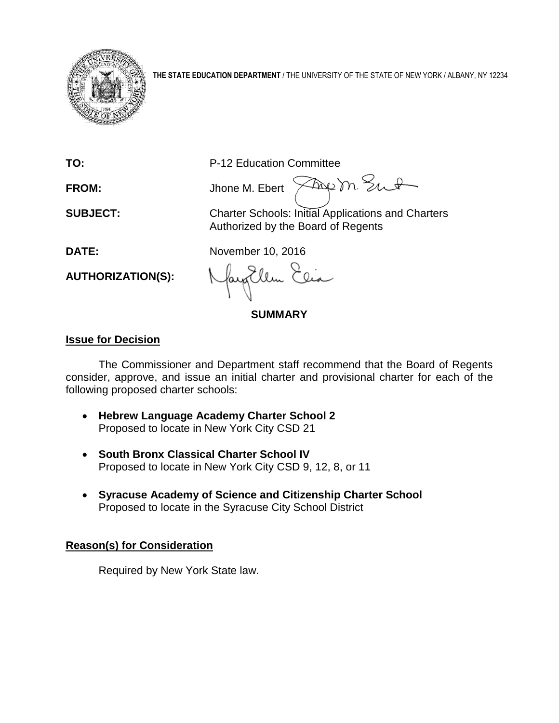

**THE STATE EDUCATION DEPARTMENT** / THE UNIVERSITY OF THE STATE OF NEW YORK / ALBANY, NY 12234

**TO:** P-12 Education Committee

Frem Sut **FROM:** Jhone M. Ebert >

**SUBJECT:** Charter Schools: Initial Applications and Charters Authorized by the Board of Regents

**DATE:** November 10, 2016

**AUTHORIZATION(S):**

**SUMMARY**

# **Issue for Decision**

The Commissioner and Department staff recommend that the Board of Regents consider, approve, and issue an initial charter and provisional charter for each of the following proposed charter schools:

- **Hebrew Language Academy Charter School 2**  Proposed to locate in New York City CSD 21
- **South Bronx Classical Charter School IV**  Proposed to locate in New York City CSD 9, 12, 8, or 11
- **Syracuse Academy of Science and Citizenship Charter School**  Proposed to locate in the Syracuse City School District

# **Reason(s) for Consideration**

Required by New York State law.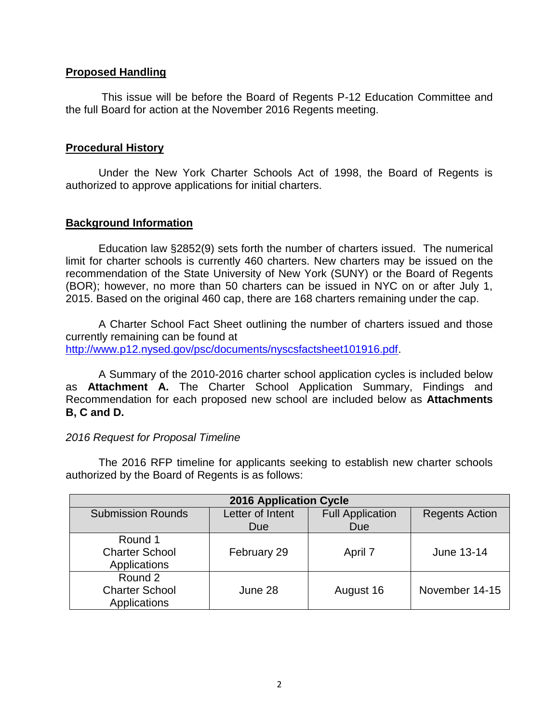# **Proposed Handling**

This issue will be before the Board of Regents P-12 Education Committee and the full Board for action at the November 2016 Regents meeting.

# **Procedural History**

Under the New York Charter Schools Act of 1998, the Board of Regents is authorized to approve applications for initial charters.

# **Background Information**

Education law §2852(9) sets forth the number of charters issued. The numerical limit for charter schools is currently 460 charters. New charters may be issued on the recommendation of the State University of New York (SUNY) or the Board of Regents (BOR); however, no more than 50 charters can be issued in NYC on or after July 1, 2015. Based on the original 460 cap, there are 168 charters remaining under the cap.

A Charter School Fact Sheet outlining the number of charters issued and those currently remaining can be found at [http://www.p12.nysed.gov/psc/documents/nyscsfactsheet101916.pdf.](http://www.p12.nysed.gov/psc/documents/nyscsfactsheet101916.pdf)

A Summary of the 2010-2016 charter school application cycles is included below as **Attachment A.** The Charter School Application Summary, Findings and Recommendation for each proposed new school are included below as **Attachments B, C and D.**

# *2016 Request for Proposal Timeline*

The 2016 RFP timeline for applicants seeking to establish new charter schools authorized by the Board of Regents is as follows:

| <b>2016 Application Cycle</b> |                  |                         |                       |  |
|-------------------------------|------------------|-------------------------|-----------------------|--|
| <b>Submission Rounds</b>      | Letter of Intent | <b>Full Application</b> | <b>Regents Action</b> |  |
|                               | Due              | <b>Due</b>              |                       |  |
| Round 1                       |                  |                         |                       |  |
| <b>Charter School</b>         | February 29      | April 7                 | June 13-14            |  |
| Applications                  |                  |                         |                       |  |
| Round 2                       |                  |                         |                       |  |
| <b>Charter School</b>         | June 28          | August 16               | November 14-15        |  |
| Applications                  |                  |                         |                       |  |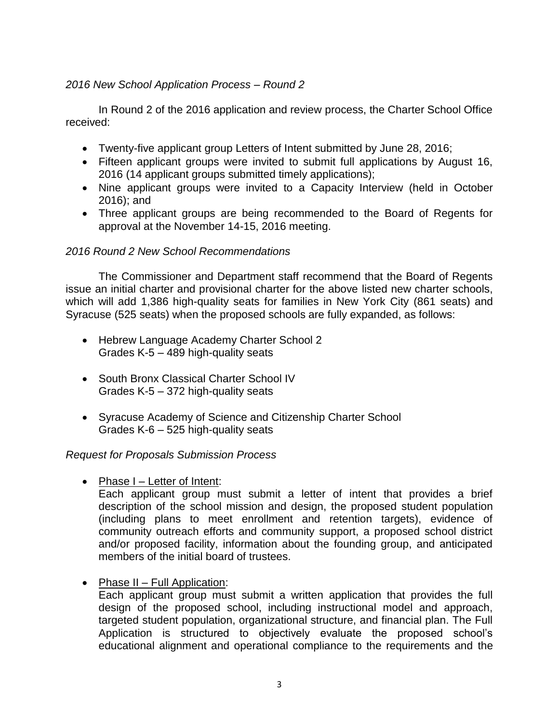# *2016 New School Application Process – Round 2*

In Round 2 of the 2016 application and review process, the Charter School Office received:

- Twenty-five applicant group Letters of Intent submitted by June 28, 2016;
- Fifteen applicant groups were invited to submit full applications by August 16, 2016 (14 applicant groups submitted timely applications);
- Nine applicant groups were invited to a Capacity Interview (held in October 2016); and
- Three applicant groups are being recommended to the Board of Regents for approval at the November 14-15, 2016 meeting.

# *2016 Round 2 New School Recommendations*

The Commissioner and Department staff recommend that the Board of Regents issue an initial charter and provisional charter for the above listed new charter schools, which will add 1,386 high-quality seats for families in New York City (861 seats) and Syracuse (525 seats) when the proposed schools are fully expanded, as follows:

- Hebrew Language Academy Charter School 2 Grades K-5 – 489 high-quality seats
- South Bronx Classical Charter School IV Grades K-5 – 372 high-quality seats
- Syracuse Academy of Science and Citizenship Charter School Grades K-6 – 525 high-quality seats

# *Request for Proposals Submission Process*

• Phase I – Letter of Intent:

Each applicant group must submit a letter of intent that provides a brief description of the school mission and design, the proposed student population (including plans to meet enrollment and retention targets), evidence of community outreach efforts and community support, a proposed school district and/or proposed facility, information about the founding group, and anticipated members of the initial board of trustees.

• Phase II – Full Application:

Each applicant group must submit a written application that provides the full design of the proposed school, including instructional model and approach, targeted student population, organizational structure, and financial plan. The Full Application is structured to objectively evaluate the proposed school's educational alignment and operational compliance to the requirements and the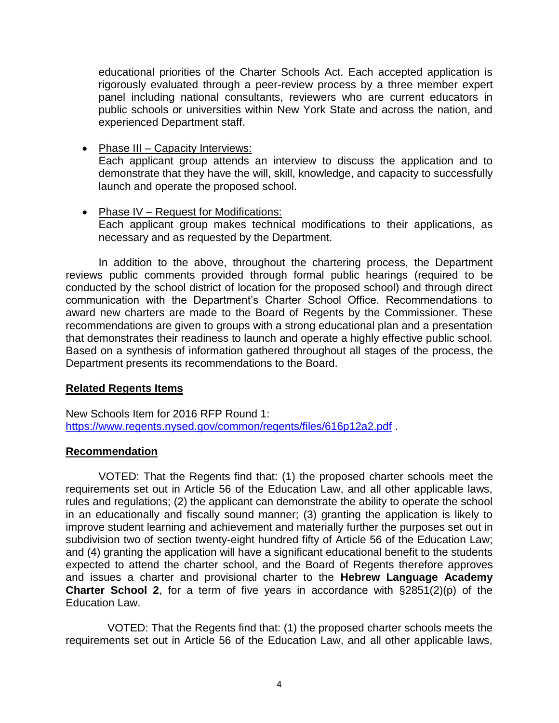educational priorities of the Charter Schools Act. Each accepted application is rigorously evaluated through a peer-review process by a three member expert panel including national consultants, reviewers who are current educators in public schools or universities within New York State and across the nation, and experienced Department staff.

- Phase III Capacity Interviews: Each applicant group attends an interview to discuss the application and to demonstrate that they have the will, skill, knowledge, and capacity to successfully launch and operate the proposed school.
- Phase IV Request for Modifications: Each applicant group makes technical modifications to their applications, as necessary and as requested by the Department.

In addition to the above, throughout the chartering process, the Department reviews public comments provided through formal public hearings (required to be conducted by the school district of location for the proposed school) and through direct communication with the Department's Charter School Office. Recommendations to award new charters are made to the Board of Regents by the Commissioner. These recommendations are given to groups with a strong educational plan and a presentation that demonstrates their readiness to launch and operate a highly effective public school. Based on a synthesis of information gathered throughout all stages of the process, the Department presents its recommendations to the Board.

# **Related Regents Items**

New Schools Item for 2016 RFP Round 1: <https://www.regents.nysed.gov/common/regents/files/616p12a2.pdf> .

# **Recommendation**

VOTED: That the Regents find that: (1) the proposed charter schools meet the requirements set out in Article 56 of the Education Law, and all other applicable laws, rules and regulations; (2) the applicant can demonstrate the ability to operate the school in an educationally and fiscally sound manner; (3) granting the application is likely to improve student learning and achievement and materially further the purposes set out in subdivision two of section twenty-eight hundred fifty of Article 56 of the Education Law; and (4) granting the application will have a significant educational benefit to the students expected to attend the charter school, and the Board of Regents therefore approves and issues a charter and provisional charter to the **Hebrew Language Academy Charter School 2**, for a term of five years in accordance with §2851(2)(p) of the Education Law.

VOTED: That the Regents find that: (1) the proposed charter schools meets the requirements set out in Article 56 of the Education Law, and all other applicable laws,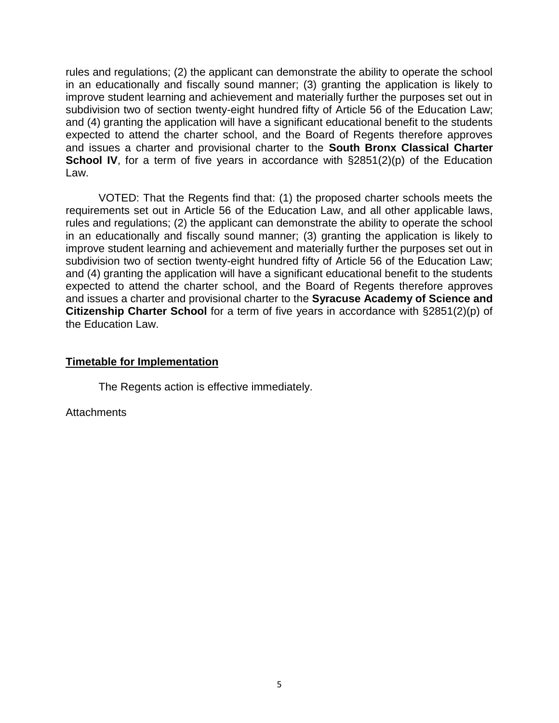rules and regulations; (2) the applicant can demonstrate the ability to operate the school in an educationally and fiscally sound manner; (3) granting the application is likely to improve student learning and achievement and materially further the purposes set out in subdivision two of section twenty-eight hundred fifty of Article 56 of the Education Law; and (4) granting the application will have a significant educational benefit to the students expected to attend the charter school, and the Board of Regents therefore approves and issues a charter and provisional charter to the **South Bronx Classical Charter School IV**, for a term of five years in accordance with  $\S2851(2)(p)$  of the Education Law.

VOTED: That the Regents find that: (1) the proposed charter schools meets the requirements set out in Article 56 of the Education Law, and all other applicable laws, rules and regulations; (2) the applicant can demonstrate the ability to operate the school in an educationally and fiscally sound manner; (3) granting the application is likely to improve student learning and achievement and materially further the purposes set out in subdivision two of section twenty-eight hundred fifty of Article 56 of the Education Law; and (4) granting the application will have a significant educational benefit to the students expected to attend the charter school, and the Board of Regents therefore approves and issues a charter and provisional charter to the **Syracuse Academy of Science and Citizenship Charter School** for a term of five years in accordance with §2851(2)(p) of the Education Law.

#### **Timetable for Implementation**

The Regents action is effective immediately.

**Attachments**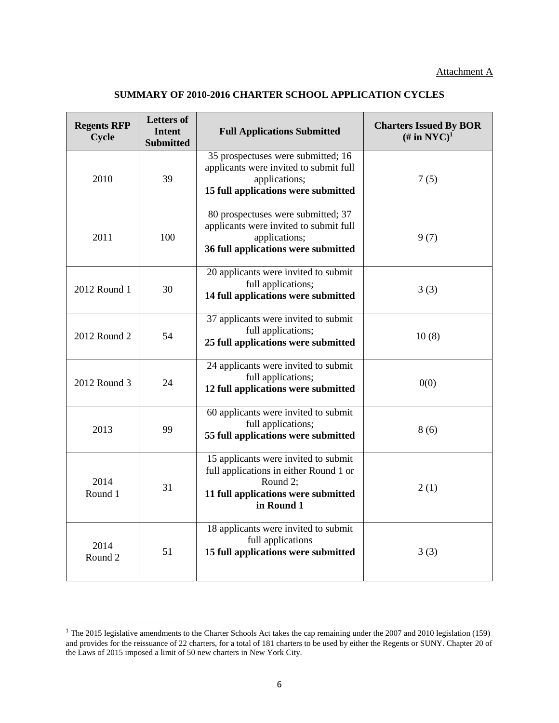#### **SUMMARY OF 2010-2016 CHARTER SCHOOL APPLICATION CYCLES**

| <b>Regents RFP</b><br>Cycle | <b>Letters of</b><br><b>Intent</b><br><b>Submitted</b> | <b>Full Applications Submitted</b>                                                                                                              | <b>Charters Issued By BOR</b><br>$(\#$ in NYC $)^1$ |
|-----------------------------|--------------------------------------------------------|-------------------------------------------------------------------------------------------------------------------------------------------------|-----------------------------------------------------|
| 2010                        | 39                                                     | 35 prospectuses were submitted; 16<br>applicants were invited to submit full<br>applications;<br>15 full applications were submitted            | 7(5)                                                |
| 2011                        | 100                                                    | 80 prospectuses were submitted; 37<br>applicants were invited to submit full<br>applications;<br>36 full applications were submitted            | 9(7)                                                |
| 2012 Round 1                | 30                                                     | 20 applicants were invited to submit<br>full applications;<br>14 full applications were submitted                                               | 3(3)                                                |
| 2012 Round 2                | 54                                                     | 37 applicants were invited to submit<br>full applications;<br>25 full applications were submitted                                               | 10(8)                                               |
| 2012 Round 3                | 24                                                     | 24 applicants were invited to submit<br>full applications;<br>12 full applications were submitted                                               | 0(0)                                                |
| 2013                        | 99                                                     | 60 applicants were invited to submit<br>full applications;<br>55 full applications were submitted                                               | 8(6)                                                |
| 2014<br>Round 1             | 31                                                     | 15 applicants were invited to submit<br>full applications in either Round 1 or<br>Round 2;<br>11 full applications were submitted<br>in Round 1 | 2(1)                                                |
| 2014<br>Round 2             | 51                                                     | 18 applicants were invited to submit<br>full applications<br>15 full applications were submitted                                                | 3(3)                                                |

<sup>&</sup>lt;sup>1</sup> The 2015 legislative amendments to the Charter Schools Act takes the cap remaining under the 2007 and 2010 legislation (159) and provides for the reissuance of 22 charters, for a total of 181 charters to be used by either the Regents or SUNY. Chapter 20 of the Laws of 2015 imposed a limit of 50 new charters in New York City.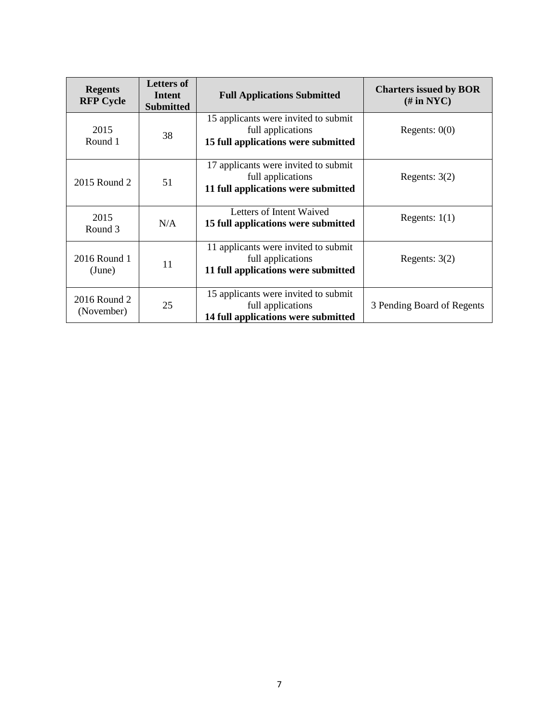| <b>Regents</b><br><b>RFP Cycle</b> | <b>Letters of</b><br>Intent<br><b>Submitted</b> | <b>Full Applications Submitted</b>                                                               | <b>Charters issued by BOR</b><br>$(\# \text{ in } \text{NYC})$ |
|------------------------------------|-------------------------------------------------|--------------------------------------------------------------------------------------------------|----------------------------------------------------------------|
| 2015<br>Round 1                    | 38                                              | 15 applicants were invited to submit<br>full applications<br>15 full applications were submitted | Regents: $0(0)$                                                |
| 2015 Round 2                       | 51                                              | 17 applicants were invited to submit<br>full applications<br>11 full applications were submitted | Regents: $3(2)$                                                |
| 2015<br>Round 3                    | N/A                                             | Letters of Intent Waived<br>15 full applications were submitted                                  | Regents: $1(1)$                                                |
| 2016 Round 1<br>(June)             | 11                                              | 11 applicants were invited to submit<br>full applications<br>11 full applications were submitted | Regents: $3(2)$                                                |
| 2016 Round 2<br>(November)         | 25                                              | 15 applicants were invited to submit<br>full applications<br>14 full applications were submitted | 3 Pending Board of Regents                                     |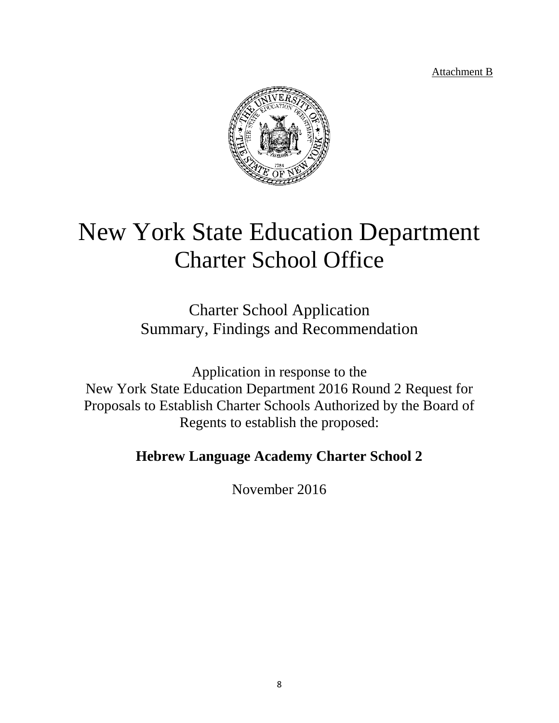Attachment B



# New York State Education Department Charter School Office

Charter School Application Summary, Findings and Recommendation

Application in response to the New York State Education Department 2016 Round 2 Request for Proposals to Establish Charter Schools Authorized by the Board of Regents to establish the proposed:

# **Hebrew Language Academy Charter School 2**

November 2016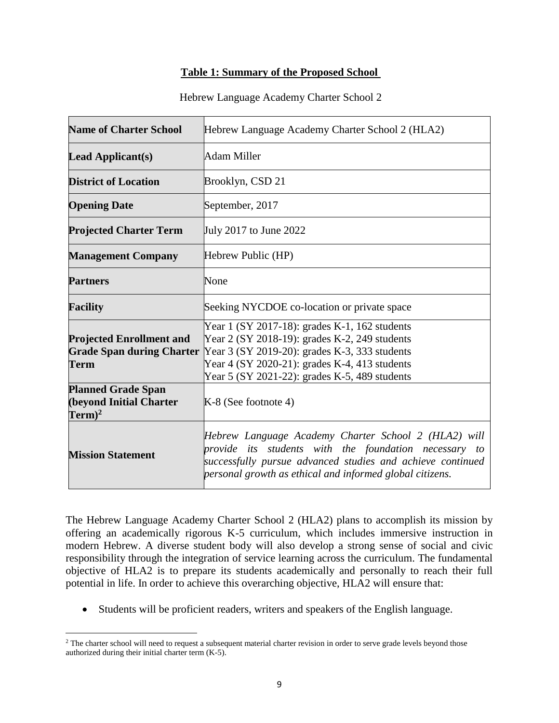#### **Table 1: Summary of the Proposed School**

#### Hebrew Language Academy Charter School 2

| <b>Name of Charter School</b>                                               | Hebrew Language Academy Charter School 2 (HLA2)                                                                                                                                                                                                   |  |  |
|-----------------------------------------------------------------------------|---------------------------------------------------------------------------------------------------------------------------------------------------------------------------------------------------------------------------------------------------|--|--|
| <b>Lead Applicant(s)</b>                                                    | Adam Miller                                                                                                                                                                                                                                       |  |  |
| <b>District of Location</b>                                                 | Brooklyn, CSD 21                                                                                                                                                                                                                                  |  |  |
| <b>Opening Date</b>                                                         | September, 2017                                                                                                                                                                                                                                   |  |  |
| <b>Projected Charter Term</b>                                               | July 2017 to June 2022                                                                                                                                                                                                                            |  |  |
| <b>Management Company</b>                                                   | Hebrew Public (HP)                                                                                                                                                                                                                                |  |  |
| <b>Partners</b>                                                             | None                                                                                                                                                                                                                                              |  |  |
| <b>Facility</b>                                                             | Seeking NYCDOE co-location or private space                                                                                                                                                                                                       |  |  |
| <b>Projected Enrollment and</b><br><b>Grade Span during Charter</b><br>Term | Year 1 (SY 2017-18): grades K-1, 162 students<br>Year 2 (SY 2018-19): grades K-2, 249 students<br>Year 3 (SY 2019-20): grades K-3, 333 students<br>Year 4 (SY 2020-21): grades K-4, 413 students<br>Year 5 (SY 2021-22): grades K-5, 489 students |  |  |
| <b>Planned Grade Span</b><br>(beyond Initial Charter<br>$Term)^2$           | K-8 (See footnote 4)                                                                                                                                                                                                                              |  |  |
| <b>Mission Statement</b>                                                    | Hebrew Language Academy Charter School 2 (HLA2) will<br>provide its students with the foundation necessary to<br>successfully pursue advanced studies and achieve continued<br>personal growth as ethical and informed global citizens.           |  |  |

The Hebrew Language Academy Charter School 2 (HLA2) plans to accomplish its mission by offering an academically rigorous K-5 curriculum, which includes immersive instruction in modern Hebrew. A diverse student body will also develop a strong sense of social and civic responsibility through the integration of service learning across the curriculum. The fundamental objective of HLA2 is to prepare its students academically and personally to reach their full potential in life. In order to achieve this overarching objective, HLA2 will ensure that:

Students will be proficient readers, writers and speakers of the English language.

 $2$  The charter school will need to request a subsequent material charter revision in order to serve grade levels beyond those authorized during their initial charter term (K-5).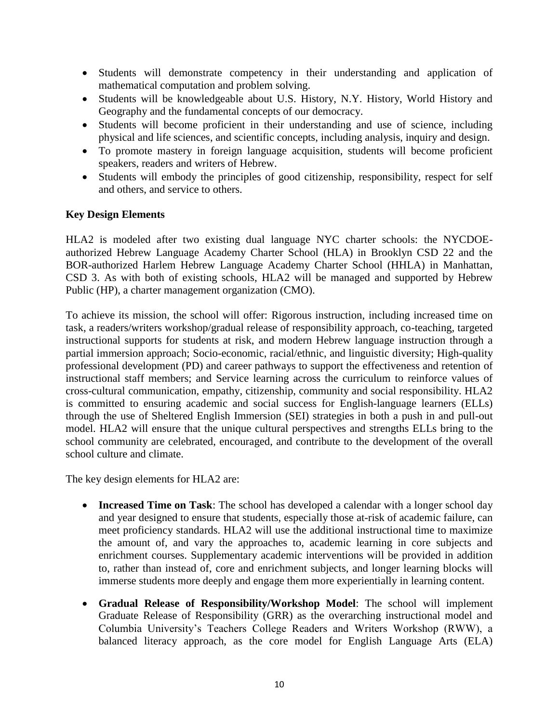- Students will demonstrate competency in their understanding and application of mathematical computation and problem solving.
- Students will be knowledgeable about U.S. History, N.Y. History, World History and Geography and the fundamental concepts of our democracy.
- Students will become proficient in their understanding and use of science, including physical and life sciences, and scientific concepts, including analysis, inquiry and design.
- To promote mastery in foreign language acquisition, students will become proficient speakers, readers and writers of Hebrew.
- Students will embody the principles of good citizenship, responsibility, respect for self and others, and service to others.

# **Key Design Elements**

HLA2 is modeled after two existing dual language NYC charter schools: the NYCDOEauthorized Hebrew Language Academy Charter School (HLA) in Brooklyn CSD 22 and the BOR-authorized Harlem Hebrew Language Academy Charter School (HHLA) in Manhattan, CSD 3. As with both of existing schools, HLA2 will be managed and supported by Hebrew Public (HP), a charter management organization (CMO).

To achieve its mission, the school will offer: Rigorous instruction, including increased time on task, a readers/writers workshop/gradual release of responsibility approach, co-teaching, targeted instructional supports for students at risk, and modern Hebrew language instruction through a partial immersion approach; Socio-economic, racial/ethnic, and linguistic diversity; High-quality professional development (PD) and career pathways to support the effectiveness and retention of instructional staff members; and Service learning across the curriculum to reinforce values of cross-cultural communication, empathy, citizenship, community and social responsibility. HLA2 is committed to ensuring academic and social success for English-language learners (ELLs) through the use of Sheltered English Immersion (SEI) strategies in both a push in and pull-out model. HLA2 will ensure that the unique cultural perspectives and strengths ELLs bring to the school community are celebrated, encouraged, and contribute to the development of the overall school culture and climate.

The key design elements for HLA2 are:

- **Increased Time on Task:** The school has developed a calendar with a longer school day and year designed to ensure that students, especially those at-risk of academic failure, can meet proficiency standards. HLA2 will use the additional instructional time to maximize the amount of, and vary the approaches to, academic learning in core subjects and enrichment courses. Supplementary academic interventions will be provided in addition to, rather than instead of, core and enrichment subjects, and longer learning blocks will immerse students more deeply and engage them more experientially in learning content.
- **Gradual Release of Responsibility/Workshop Model**: The school will implement Graduate Release of Responsibility (GRR) as the overarching instructional model and Columbia University's Teachers College Readers and Writers Workshop (RWW), a balanced literacy approach, as the core model for English Language Arts (ELA)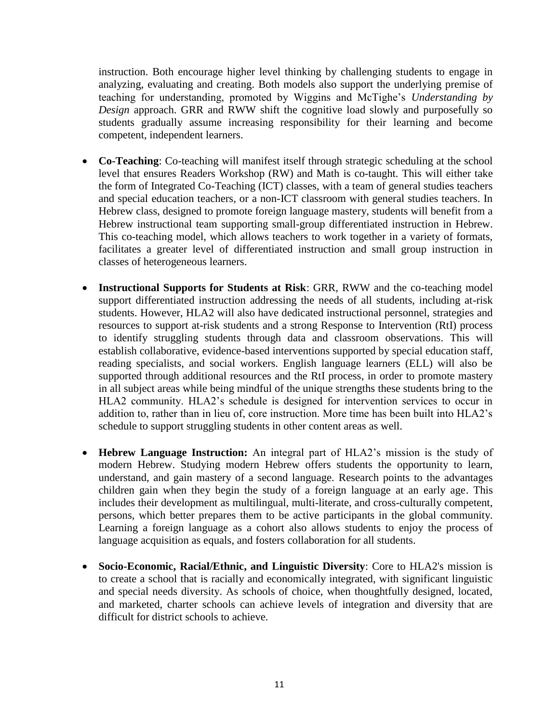instruction. Both encourage higher level thinking by challenging students to engage in analyzing, evaluating and creating. Both models also support the underlying premise of teaching for understanding, promoted by Wiggins and McTighe's *Understanding by Design* approach. GRR and RWW shift the cognitive load slowly and purposefully so students gradually assume increasing responsibility for their learning and become competent, independent learners.

- **Co-Teaching**: Co-teaching will manifest itself through strategic scheduling at the school level that ensures Readers Workshop (RW) and Math is co-taught. This will either take the form of Integrated Co-Teaching (ICT) classes, with a team of general studies teachers and special education teachers, or a non-ICT classroom with general studies teachers. In Hebrew class, designed to promote foreign language mastery, students will benefit from a Hebrew instructional team supporting small-group differentiated instruction in Hebrew. This co-teaching model, which allows teachers to work together in a variety of formats, facilitates a greater level of differentiated instruction and small group instruction in classes of heterogeneous learners.
- **Instructional Supports for Students at Risk**: GRR, RWW and the co-teaching model support differentiated instruction addressing the needs of all students, including at-risk students. However, HLA2 will also have dedicated instructional personnel, strategies and resources to support at-risk students and a strong Response to Intervention (RtI) process to identify struggling students through data and classroom observations. This will establish collaborative, evidence-based interventions supported by special education staff, reading specialists, and social workers. English language learners (ELL) will also be supported through additional resources and the RtI process, in order to promote mastery in all subject areas while being mindful of the unique strengths these students bring to the HLA2 community. HLA2's schedule is designed for intervention services to occur in addition to, rather than in lieu of, core instruction. More time has been built into HLA2's schedule to support struggling students in other content areas as well.
- **Hebrew Language Instruction:** An integral part of HLA2's mission is the study of modern Hebrew. Studying modern Hebrew offers students the opportunity to learn, understand, and gain mastery of a second language. Research points to the advantages children gain when they begin the study of a foreign language at an early age. This includes their development as multilingual, multi-literate, and cross-culturally competent, persons, which better prepares them to be active participants in the global community. Learning a foreign language as a cohort also allows students to enjoy the process of language acquisition as equals, and fosters collaboration for all students.
- **Socio-Economic, Racial/Ethnic, and Linguistic Diversity**: Core to HLA2's mission is to create a school that is racially and economically integrated, with significant linguistic and special needs diversity. As schools of choice, when thoughtfully designed, located, and marketed, charter schools can achieve levels of integration and diversity that are difficult for district schools to achieve.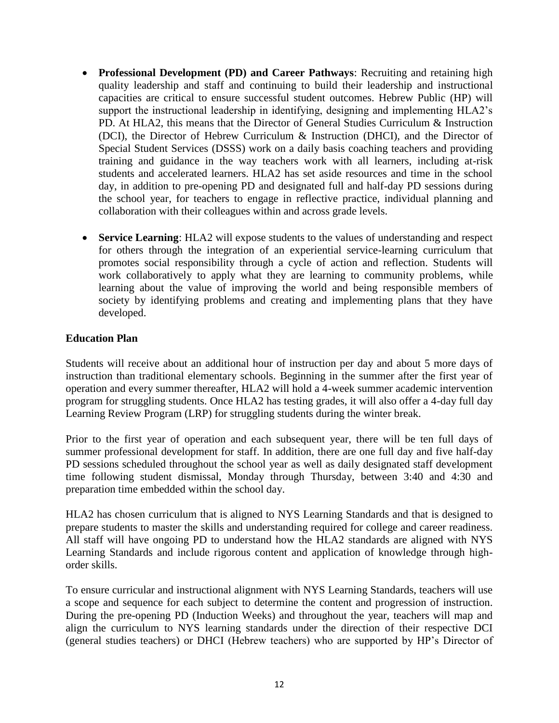- **Professional Development (PD) and Career Pathways**: Recruiting and retaining high quality leadership and staff and continuing to build their leadership and instructional capacities are critical to ensure successful student outcomes. Hebrew Public (HP) will support the instructional leadership in identifying, designing and implementing HLA2's PD. At HLA2, this means that the Director of General Studies Curriculum & Instruction (DCI), the Director of Hebrew Curriculum & Instruction (DHCI), and the Director of Special Student Services (DSSS) work on a daily basis coaching teachers and providing training and guidance in the way teachers work with all learners, including at-risk students and accelerated learners. HLA2 has set aside resources and time in the school day, in addition to pre-opening PD and designated full and half-day PD sessions during the school year, for teachers to engage in reflective practice, individual planning and collaboration with their colleagues within and across grade levels.
- **Service Learning**: HLA2 will expose students to the values of understanding and respect for others through the integration of an experiential service-learning curriculum that promotes social responsibility through a cycle of action and reflection. Students will work collaboratively to apply what they are learning to community problems, while learning about the value of improving the world and being responsible members of society by identifying problems and creating and implementing plans that they have developed.

# **Education Plan**

Students will receive about an additional hour of instruction per day and about 5 more days of instruction than traditional elementary schools. Beginning in the summer after the first year of operation and every summer thereafter, HLA2 will hold a 4-week summer academic intervention program for struggling students. Once HLA2 has testing grades, it will also offer a 4-day full day Learning Review Program (LRP) for struggling students during the winter break.

Prior to the first year of operation and each subsequent year, there will be ten full days of summer professional development for staff. In addition, there are one full day and five half-day PD sessions scheduled throughout the school year as well as daily designated staff development time following student dismissal, Monday through Thursday, between 3:40 and 4:30 and preparation time embedded within the school day.

HLA2 has chosen curriculum that is aligned to NYS Learning Standards and that is designed to prepare students to master the skills and understanding required for college and career readiness. All staff will have ongoing PD to understand how the HLA2 standards are aligned with NYS Learning Standards and include rigorous content and application of knowledge through highorder skills.

To ensure curricular and instructional alignment with NYS Learning Standards, teachers will use a scope and sequence for each subject to determine the content and progression of instruction. During the pre-opening PD (Induction Weeks) and throughout the year, teachers will map and align the curriculum to NYS learning standards under the direction of their respective DCI (general studies teachers) or DHCI (Hebrew teachers) who are supported by HP's Director of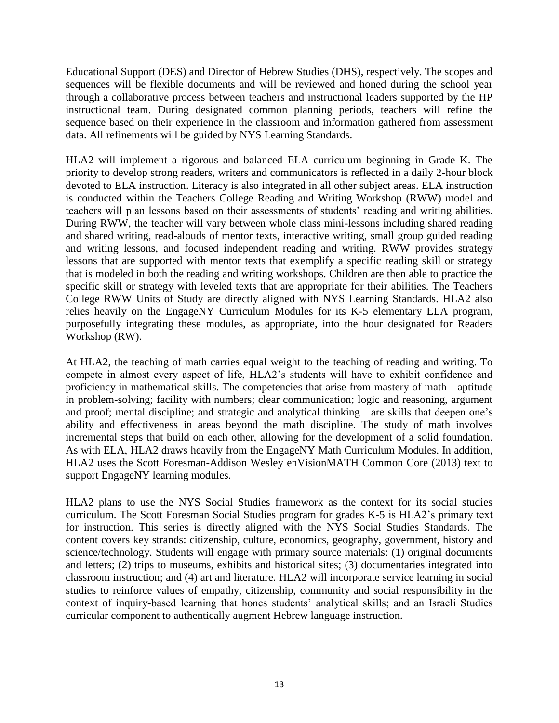Educational Support (DES) and Director of Hebrew Studies (DHS), respectively. The scopes and sequences will be flexible documents and will be reviewed and honed during the school year through a collaborative process between teachers and instructional leaders supported by the HP instructional team. During designated common planning periods, teachers will refine the sequence based on their experience in the classroom and information gathered from assessment data. All refinements will be guided by NYS Learning Standards.

HLA2 will implement a rigorous and balanced ELA curriculum beginning in Grade K. The priority to develop strong readers, writers and communicators is reflected in a daily 2-hour block devoted to ELA instruction. Literacy is also integrated in all other subject areas. ELA instruction is conducted within the Teachers College Reading and Writing Workshop (RWW) model and teachers will plan lessons based on their assessments of students' reading and writing abilities. During RWW, the teacher will vary between whole class mini-lessons including shared reading and shared writing, read-alouds of mentor texts, interactive writing, small group guided reading and writing lessons, and focused independent reading and writing. RWW provides strategy lessons that are supported with mentor texts that exemplify a specific reading skill or strategy that is modeled in both the reading and writing workshops. Children are then able to practice the specific skill or strategy with leveled texts that are appropriate for their abilities. The Teachers College RWW Units of Study are directly aligned with NYS Learning Standards. HLA2 also relies heavily on the EngageNY Curriculum Modules for its K-5 elementary ELA program, purposefully integrating these modules, as appropriate, into the hour designated for Readers Workshop (RW).

At HLA2, the teaching of math carries equal weight to the teaching of reading and writing. To compete in almost every aspect of life, HLA2's students will have to exhibit confidence and proficiency in mathematical skills. The competencies that arise from mastery of math—aptitude in problem-solving; facility with numbers; clear communication; logic and reasoning, argument and proof; mental discipline; and strategic and analytical thinking—are skills that deepen one's ability and effectiveness in areas beyond the math discipline. The study of math involves incremental steps that build on each other, allowing for the development of a solid foundation. As with ELA, HLA2 draws heavily from the EngageNY Math Curriculum Modules. In addition, HLA2 uses the Scott Foresman-Addison Wesley enVisionMATH Common Core (2013) text to support EngageNY learning modules.

HLA2 plans to use the NYS Social Studies framework as the context for its social studies curriculum. The Scott Foresman Social Studies program for grades K-5 is HLA2's primary text for instruction. This series is directly aligned with the NYS Social Studies Standards. The content covers key strands: citizenship, culture, economics, geography, government, history and science/technology. Students will engage with primary source materials: (1) original documents and letters; (2) trips to museums, exhibits and historical sites; (3) documentaries integrated into classroom instruction; and (4) art and literature. HLA2 will incorporate service learning in social studies to reinforce values of empathy, citizenship, community and social responsibility in the context of inquiry-based learning that hones students' analytical skills; and an Israeli Studies curricular component to authentically augment Hebrew language instruction.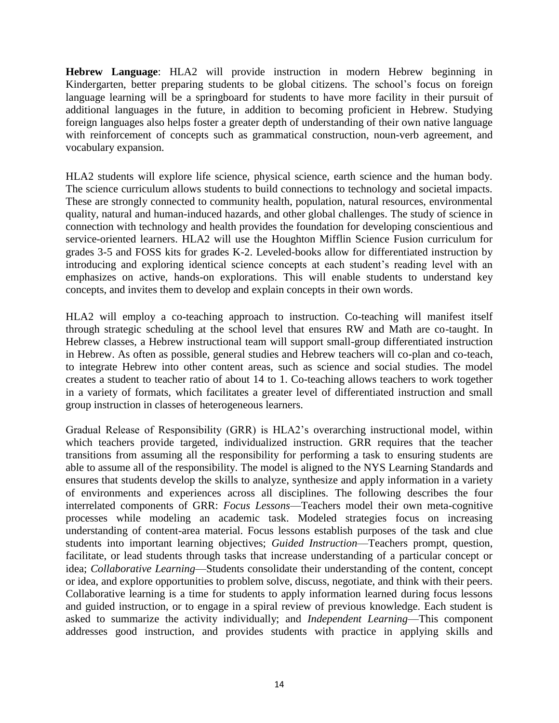**Hebrew Language**: HLA2 will provide instruction in modern Hebrew beginning in Kindergarten, better preparing students to be global citizens. The school's focus on foreign language learning will be a springboard for students to have more facility in their pursuit of additional languages in the future, in addition to becoming proficient in Hebrew. Studying foreign languages also helps foster a greater depth of understanding of their own native language with reinforcement of concepts such as grammatical construction, noun-verb agreement, and vocabulary expansion.

HLA2 students will explore life science, physical science, earth science and the human body. The science curriculum allows students to build connections to technology and societal impacts. These are strongly connected to community health, population, natural resources, environmental quality, natural and human-induced hazards, and other global challenges. The study of science in connection with technology and health provides the foundation for developing conscientious and service-oriented learners. HLA2 will use the Houghton Mifflin Science Fusion curriculum for grades 3-5 and FOSS kits for grades K-2. Leveled-books allow for differentiated instruction by introducing and exploring identical science concepts at each student's reading level with an emphasizes on active, hands-on explorations. This will enable students to understand key concepts, and invites them to develop and explain concepts in their own words.

HLA2 will employ a co-teaching approach to instruction. Co-teaching will manifest itself through strategic scheduling at the school level that ensures RW and Math are co-taught. In Hebrew classes, a Hebrew instructional team will support small-group differentiated instruction in Hebrew. As often as possible, general studies and Hebrew teachers will co-plan and co-teach, to integrate Hebrew into other content areas, such as science and social studies. The model creates a student to teacher ratio of about 14 to 1. Co-teaching allows teachers to work together in a variety of formats, which facilitates a greater level of differentiated instruction and small group instruction in classes of heterogeneous learners.

Gradual Release of Responsibility (GRR) is HLA2's overarching instructional model, within which teachers provide targeted, individualized instruction. GRR requires that the teacher transitions from assuming all the responsibility for performing a task to ensuring students are able to assume all of the responsibility. The model is aligned to the NYS Learning Standards and ensures that students develop the skills to analyze, synthesize and apply information in a variety of environments and experiences across all disciplines. The following describes the four interrelated components of GRR: *Focus Lessons*—Teachers model their own meta-cognitive processes while modeling an academic task. Modeled strategies focus on increasing understanding of content-area material. Focus lessons establish purposes of the task and clue students into important learning objectives; *Guided Instruction*—Teachers prompt, question, facilitate, or lead students through tasks that increase understanding of a particular concept or idea; *Collaborative Learning*—Students consolidate their understanding of the content, concept or idea, and explore opportunities to problem solve, discuss, negotiate, and think with their peers. Collaborative learning is a time for students to apply information learned during focus lessons and guided instruction, or to engage in a spiral review of previous knowledge. Each student is asked to summarize the activity individually; and *Independent Learning*—This component addresses good instruction, and provides students with practice in applying skills and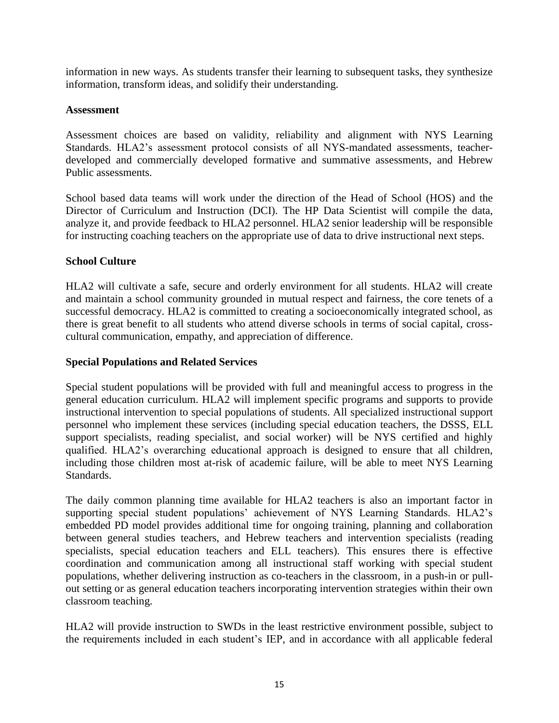information in new ways. As students transfer their learning to subsequent tasks, they synthesize information, transform ideas, and solidify their understanding.

#### **Assessment**

Assessment choices are based on validity, reliability and alignment with NYS Learning Standards. HLA2's assessment protocol consists of all NYS-mandated assessments, teacherdeveloped and commercially developed formative and summative assessments, and Hebrew Public assessments.

School based data teams will work under the direction of the Head of School (HOS) and the Director of Curriculum and Instruction (DCI). The HP Data Scientist will compile the data, analyze it, and provide feedback to HLA2 personnel. HLA2 senior leadership will be responsible for instructing coaching teachers on the appropriate use of data to drive instructional next steps.

#### **School Culture**

HLA2 will cultivate a safe, secure and orderly environment for all students. HLA2 will create and maintain a school community grounded in mutual respect and fairness, the core tenets of a successful democracy. HLA2 is committed to creating a socioeconomically integrated school, as there is great benefit to all students who attend diverse schools in terms of social capital, crosscultural communication, empathy, and appreciation of difference.

#### **Special Populations and Related Services**

Special student populations will be provided with full and meaningful access to progress in the general education curriculum. HLA2 will implement specific programs and supports to provide instructional intervention to special populations of students. All specialized instructional support personnel who implement these services (including special education teachers, the DSSS, ELL support specialists, reading specialist, and social worker) will be NYS certified and highly qualified. HLA2's overarching educational approach is designed to ensure that all children, including those children most at-risk of academic failure, will be able to meet NYS Learning Standards.

The daily common planning time available for HLA2 teachers is also an important factor in supporting special student populations' achievement of NYS Learning Standards. HLA2's embedded PD model provides additional time for ongoing training, planning and collaboration between general studies teachers, and Hebrew teachers and intervention specialists (reading specialists, special education teachers and ELL teachers). This ensures there is effective coordination and communication among all instructional staff working with special student populations, whether delivering instruction as co-teachers in the classroom, in a push-in or pullout setting or as general education teachers incorporating intervention strategies within their own classroom teaching.

HLA2 will provide instruction to SWDs in the least restrictive environment possible, subject to the requirements included in each student's IEP, and in accordance with all applicable federal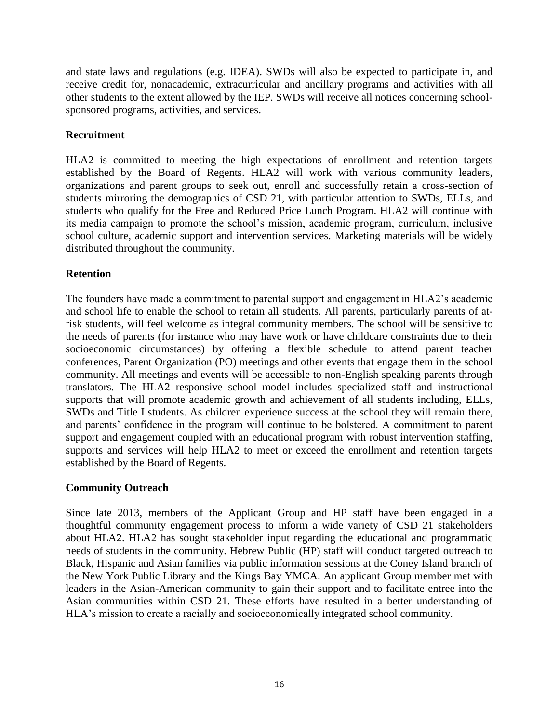and state laws and regulations (e.g. IDEA). SWDs will also be expected to participate in, and receive credit for, nonacademic, extracurricular and ancillary programs and activities with all other students to the extent allowed by the IEP. SWDs will receive all notices concerning schoolsponsored programs, activities, and services.

# **Recruitment**

HLA2 is committed to meeting the high expectations of enrollment and retention targets established by the Board of Regents. HLA2 will work with various community leaders, organizations and parent groups to seek out, enroll and successfully retain a cross-section of students mirroring the demographics of CSD 21, with particular attention to SWDs, ELLs, and students who qualify for the Free and Reduced Price Lunch Program. HLA2 will continue with its media campaign to promote the school's mission, academic program, curriculum, inclusive school culture, academic support and intervention services. Marketing materials will be widely distributed throughout the community.

# **Retention**

The founders have made a commitment to parental support and engagement in HLA2's academic and school life to enable the school to retain all students. All parents, particularly parents of atrisk students, will feel welcome as integral community members. The school will be sensitive to the needs of parents (for instance who may have work or have childcare constraints due to their socioeconomic circumstances) by offering a flexible schedule to attend parent teacher conferences, Parent Organization (PO) meetings and other events that engage them in the school community. All meetings and events will be accessible to non-English speaking parents through translators. The HLA2 responsive school model includes specialized staff and instructional supports that will promote academic growth and achievement of all students including, ELLs, SWDs and Title I students. As children experience success at the school they will remain there, and parents' confidence in the program will continue to be bolstered. A commitment to parent support and engagement coupled with an educational program with robust intervention staffing, supports and services will help HLA2 to meet or exceed the enrollment and retention targets established by the Board of Regents.

# **Community Outreach**

Since late 2013, members of the Applicant Group and HP staff have been engaged in a thoughtful community engagement process to inform a wide variety of CSD 21 stakeholders about HLA2. HLA2 has sought stakeholder input regarding the educational and programmatic needs of students in the community. Hebrew Public (HP) staff will conduct targeted outreach to Black, Hispanic and Asian families via public information sessions at the Coney Island branch of the New York Public Library and the Kings Bay YMCA. An applicant Group member met with leaders in the Asian-American community to gain their support and to facilitate entree into the Asian communities within CSD 21. These efforts have resulted in a better understanding of HLA's mission to create a racially and socioeconomically integrated school community.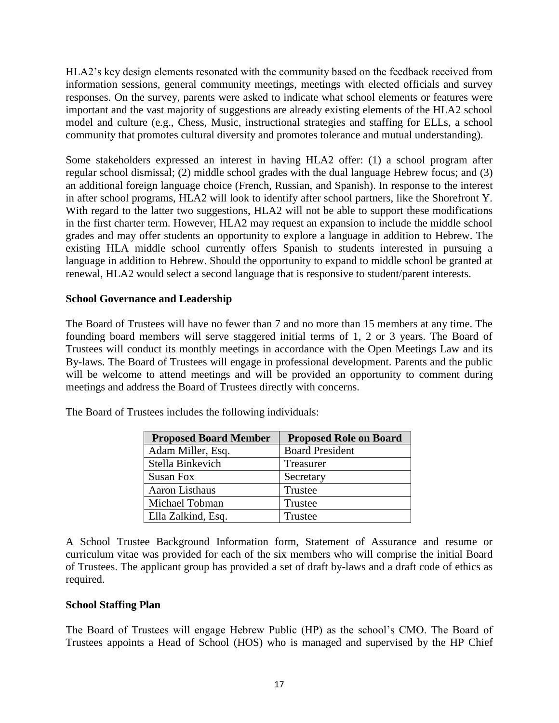HLA2's key design elements resonated with the community based on the feedback received from information sessions, general community meetings, meetings with elected officials and survey responses. On the survey, parents were asked to indicate what school elements or features were important and the vast majority of suggestions are already existing elements of the HLA2 school model and culture (e.g., Chess, Music, instructional strategies and staffing for ELLs, a school community that promotes cultural diversity and promotes tolerance and mutual understanding).

Some stakeholders expressed an interest in having HLA2 offer: (1) a school program after regular school dismissal; (2) middle school grades with the dual language Hebrew focus; and (3) an additional foreign language choice (French, Russian, and Spanish). In response to the interest in after school programs, HLA2 will look to identify after school partners, like the Shorefront Y. With regard to the latter two suggestions, HLA2 will not be able to support these modifications in the first charter term. However, HLA2 may request an expansion to include the middle school grades and may offer students an opportunity to explore a language in addition to Hebrew. The existing HLA middle school currently offers Spanish to students interested in pursuing a language in addition to Hebrew. Should the opportunity to expand to middle school be granted at renewal, HLA2 would select a second language that is responsive to student/parent interests.

#### **School Governance and Leadership**

The Board of Trustees will have no fewer than 7 and no more than 15 members at any time. The founding board members will serve staggered initial terms of 1, 2 or 3 years. The Board of Trustees will conduct its monthly meetings in accordance with the Open Meetings Law and its By-laws. The Board of Trustees will engage in professional development. Parents and the public will be welcome to attend meetings and will be provided an opportunity to comment during meetings and address the Board of Trustees directly with concerns.

| <b>Proposed Board Member</b> | <b>Proposed Role on Board</b> |
|------------------------------|-------------------------------|
| Adam Miller, Esq.            | <b>Board President</b>        |
| Stella Binkevich             | Treasurer                     |
| Susan Fox                    | Secretary                     |
| Aaron Listhaus               | Trustee                       |
| Michael Tobman               | Trustee                       |
| Ella Zalkind, Esq.           | Trustee                       |

The Board of Trustees includes the following individuals:

A School Trustee Background Information form, Statement of Assurance and resume or curriculum vitae was provided for each of the six members who will comprise the initial Board of Trustees. The applicant group has provided a set of draft by-laws and a draft code of ethics as required.

#### **School Staffing Plan**

The Board of Trustees will engage Hebrew Public (HP) as the school's CMO. The Board of Trustees appoints a Head of School (HOS) who is managed and supervised by the HP Chief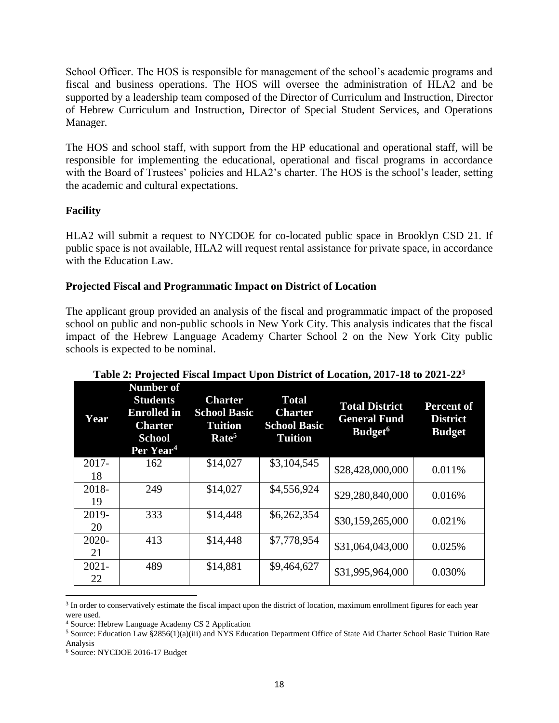School Officer. The HOS is responsible for management of the school's academic programs and fiscal and business operations. The HOS will oversee the administration of HLA2 and be supported by a leadership team composed of the Director of Curriculum and Instruction, Director of Hebrew Curriculum and Instruction, Director of Special Student Services, and Operations Manager.

The HOS and school staff, with support from the HP educational and operational staff, will be responsible for implementing the educational, operational and fiscal programs in accordance with the Board of Trustees' policies and HLA2's charter. The HOS is the school's leader, setting the academic and cultural expectations.

# **Facility**

HLA2 will submit a request to NYCDOE for co-located public space in Brooklyn CSD 21. If public space is not available, HLA2 will request rental assistance for private space, in accordance with the Education Law.

# **Projected Fiscal and Programmatic Impact on District of Location**

The applicant group provided an analysis of the fiscal and programmatic impact of the proposed school on public and non-public schools in New York City. This analysis indicates that the fiscal impact of the Hebrew Language Academy Charter School 2 on the New York City public schools is expected to be nominal.

| Year           | <b>Number of</b><br><b>Students</b><br><b>Enrolled</b> in<br><b>Charter</b><br><b>School</b><br>Per Year <sup>4</sup> | <b>Charter</b><br><b>School Basic</b><br><b>Tuition</b><br>Rate <sup>5</sup> | <b>Total</b><br><b>Charter</b><br><b>School Basic</b><br><b>Tuition</b> | <b>Total District</b><br><b>General Fund</b><br>Budget <sup>6</sup> | <b>Percent of</b><br><b>District</b><br><b>Budget</b> |
|----------------|-----------------------------------------------------------------------------------------------------------------------|------------------------------------------------------------------------------|-------------------------------------------------------------------------|---------------------------------------------------------------------|-------------------------------------------------------|
| $2017 -$<br>18 | 162                                                                                                                   | \$14,027                                                                     | \$3,104,545                                                             | \$28,428,000,000                                                    | 0.011%                                                |
| 2018-<br>19    | 249                                                                                                                   | \$14,027                                                                     | \$4,556,924                                                             | \$29,280,840,000                                                    | 0.016%                                                |
| 2019-<br>20    | 333                                                                                                                   | \$14,448                                                                     | \$6,262,354                                                             | \$30,159,265,000                                                    | 0.021%                                                |
| $2020 -$<br>21 | 413                                                                                                                   | \$14,448                                                                     | \$7,778,954                                                             | \$31,064,043,000                                                    | 0.025%                                                |
| $2021 -$<br>22 | 489                                                                                                                   | \$14,881                                                                     | \$9,464,627                                                             | \$31,995,964,000                                                    | 0.030%                                                |

| Table 2: Projected Fiscal Impact Upon District of Location, 2017-18 to 2021-22 <sup>3</sup> |  |  |
|---------------------------------------------------------------------------------------------|--|--|
|                                                                                             |  |  |

<sup>&</sup>lt;sup>3</sup> In order to conservatively estimate the fiscal impact upon the district of location, maximum enrollment figures for each year were used.

<sup>4</sup> Source: Hebrew Language Academy CS 2 Application

<sup>5</sup> Source: Education Law §2856(1)(a)(iii) and NYS Education Department Office of State Aid Charter School Basic Tuition Rate Analysis

<sup>6</sup> Source: NYCDOE 2016-17 Budget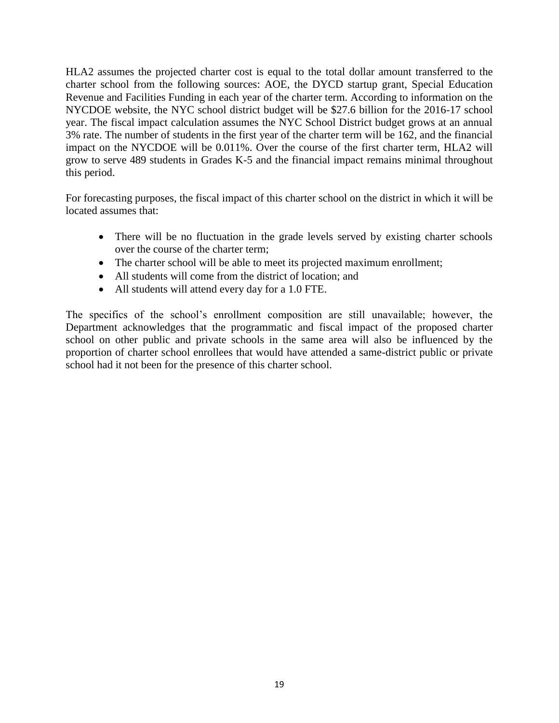HLA2 assumes the projected charter cost is equal to the total dollar amount transferred to the charter school from the following sources: AOE, the DYCD startup grant, Special Education Revenue and Facilities Funding in each year of the charter term. According to information on the NYCDOE website, the NYC school district budget will be \$27.6 billion for the 2016-17 school year. The fiscal impact calculation assumes the NYC School District budget grows at an annual 3% rate. The number of students in the first year of the charter term will be 162, and the financial impact on the NYCDOE will be 0.011%. Over the course of the first charter term, HLA2 will grow to serve 489 students in Grades K-5 and the financial impact remains minimal throughout this period.

For forecasting purposes, the fiscal impact of this charter school on the district in which it will be located assumes that:

- There will be no fluctuation in the grade levels served by existing charter schools over the course of the charter term;
- The charter school will be able to meet its projected maximum enrollment;
- All students will come from the district of location; and
- All students will attend every day for a 1.0 FTE.

The specifics of the school's enrollment composition are still unavailable; however, the Department acknowledges that the programmatic and fiscal impact of the proposed charter school on other public and private schools in the same area will also be influenced by the proportion of charter school enrollees that would have attended a same-district public or private school had it not been for the presence of this charter school.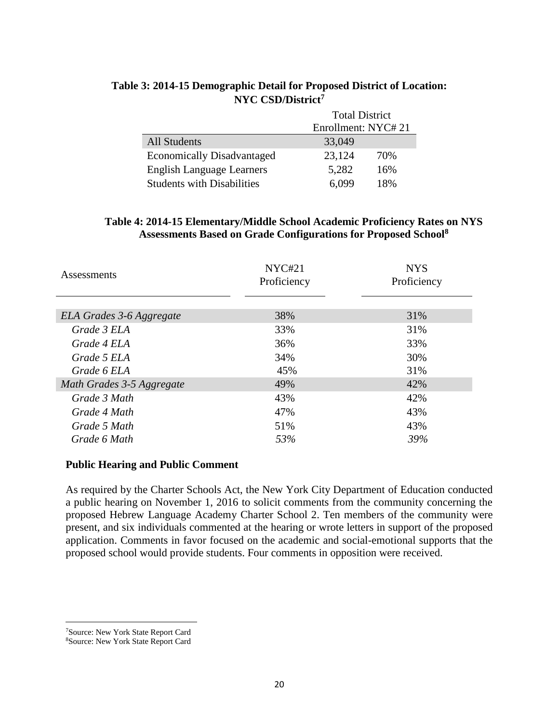|                                   | <b>Total District</b> |     |  |
|-----------------------------------|-----------------------|-----|--|
|                                   | Enrollment: NYC#21    |     |  |
| <b>All Students</b>               | 33,049                |     |  |
| <b>Economically Disadvantaged</b> | 23,124                | 70% |  |
| <b>English Language Learners</b>  | 5,282                 | 16% |  |
| <b>Students with Disabilities</b> | 6.099                 | 18% |  |

# **Table 3: 2014-15 Demographic Detail for Proposed District of Location: NYC CSD/District<sup>7</sup>**

#### **Table 4: 2014-15 Elementary/Middle School Academic Proficiency Rates on NYS Assessments Based on Grade Configurations for Proposed School<sup>8</sup>**

| Assessments               | NYC#21<br>Proficiency | <b>NYS</b><br>Proficiency |
|---------------------------|-----------------------|---------------------------|
|                           |                       |                           |
| ELA Grades 3-6 Aggregate  | 38%                   | 31%                       |
| Grade 3 ELA               | 33%                   | 31%                       |
| Grade 4 ELA               | 36%                   | 33%                       |
| Grade 5 ELA               | 34%                   | 30%                       |
| Grade 6 ELA               | 45%                   | 31%                       |
| Math Grades 3-5 Aggregate | 49%                   | 42%                       |
| Grade 3 Math              | 43%                   | 42%                       |
| Grade 4 Math              | 47%                   | 43%                       |
| Grade 5 Math              | 51%                   | 43%                       |
| Grade 6 Math              | 53%                   | 39%                       |

#### **Public Hearing and Public Comment**

As required by the Charter Schools Act, the New York City Department of Education conducted a public hearing on November 1, 2016 to solicit comments from the community concerning the proposed Hebrew Language Academy Charter School 2. Ten members of the community were present, and six individuals commented at the hearing or wrote letters in support of the proposed application. Comments in favor focused on the academic and social-emotional supports that the proposed school would provide students. Four comments in opposition were received.

 $\overline{a}$ <sup>7</sup>Source: New York State Report Card

<sup>8</sup>Source: New York State Report Card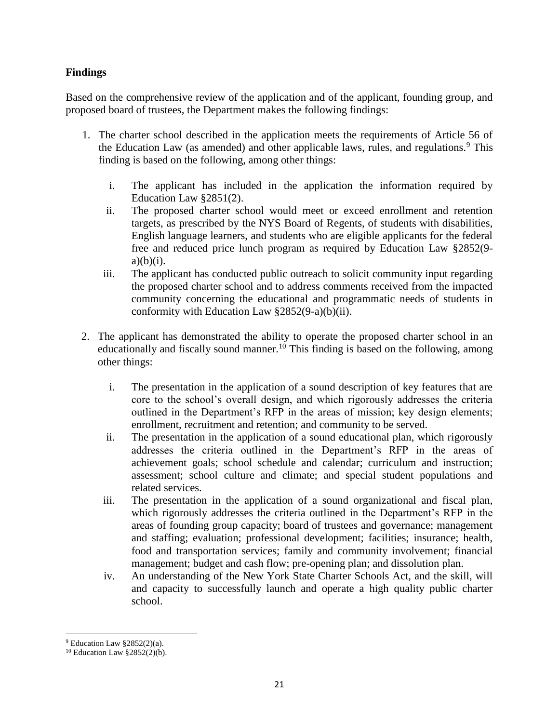# **Findings**

Based on the comprehensive review of the application and of the applicant, founding group, and proposed board of trustees, the Department makes the following findings:

- 1. The charter school described in the application meets the requirements of Article 56 of the Education Law (as amended) and other applicable laws, rules, and regulations.<sup>9</sup> This finding is based on the following, among other things:
	- i. The applicant has included in the application the information required by Education Law §2851(2).
	- ii. The proposed charter school would meet or exceed enrollment and retention targets, as prescribed by the NYS Board of Regents, of students with disabilities, English language learners, and students who are eligible applicants for the federal free and reduced price lunch program as required by Education Law §2852(9  $a)(b)(i)$ .
	- iii. The applicant has conducted public outreach to solicit community input regarding the proposed charter school and to address comments received from the impacted community concerning the educational and programmatic needs of students in conformity with Education Law §2852(9-a)(b)(ii).
- 2. The applicant has demonstrated the ability to operate the proposed charter school in an educationally and fiscally sound manner.<sup>10</sup> This finding is based on the following, among other things:
	- i. The presentation in the application of a sound description of key features that are core to the school's overall design, and which rigorously addresses the criteria outlined in the Department's RFP in the areas of mission; key design elements; enrollment, recruitment and retention; and community to be served.
	- ii. The presentation in the application of a sound educational plan, which rigorously addresses the criteria outlined in the Department's RFP in the areas of achievement goals; school schedule and calendar; curriculum and instruction; assessment; school culture and climate; and special student populations and related services.
	- iii. The presentation in the application of a sound organizational and fiscal plan, which rigorously addresses the criteria outlined in the Department's RFP in the areas of founding group capacity; board of trustees and governance; management and staffing; evaluation; professional development; facilities; insurance; health, food and transportation services; family and community involvement; financial management; budget and cash flow; pre-opening plan; and dissolution plan.
	- iv. An understanding of the New York State Charter Schools Act, and the skill, will and capacity to successfully launch and operate a high quality public charter school.

 $9$  Education Law §2852(2)(a).

<sup>10</sup> Education Law §2852(2)(b).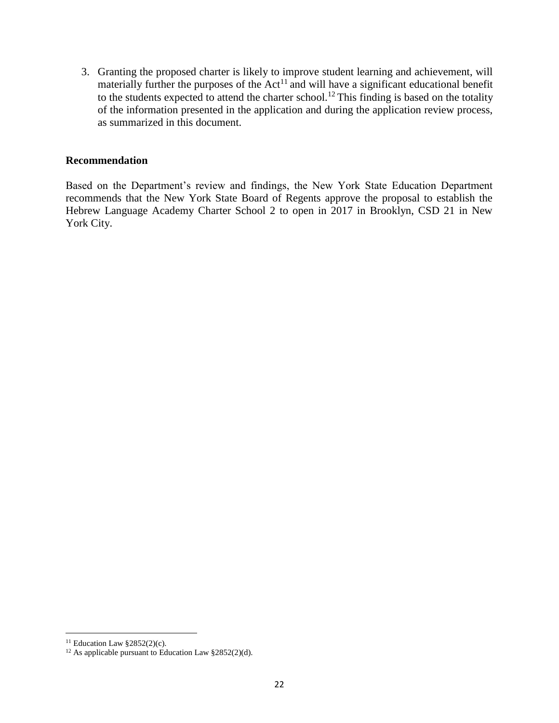3. Granting the proposed charter is likely to improve student learning and achievement, will materially further the purposes of the  $Act<sup>11</sup>$  and will have a significant educational benefit to the students expected to attend the charter school.<sup>12</sup> This finding is based on the totality of the information presented in the application and during the application review process, as summarized in this document.

#### **Recommendation**

Based on the Department's review and findings, the New York State Education Department recommends that the New York State Board of Regents approve the proposal to establish the Hebrew Language Academy Charter School 2 to open in 2017 in Brooklyn, CSD 21 in New York City.

<sup>&</sup>lt;sup>11</sup> Education Law  $§2852(2)(c)$ .

<sup>&</sup>lt;sup>12</sup> As applicable pursuant to Education Law  $\S 2852(2)(d)$ .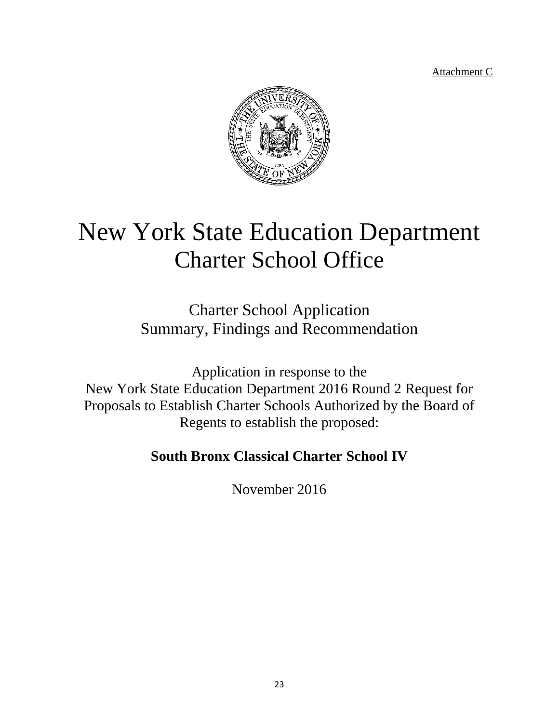Attachment C



# New York State Education Department Charter School Office

Charter School Application Summary, Findings and Recommendation

Application in response to the New York State Education Department 2016 Round 2 Request for Proposals to Establish Charter Schools Authorized by the Board of Regents to establish the proposed:

# **South Bronx Classical Charter School IV**

November 2016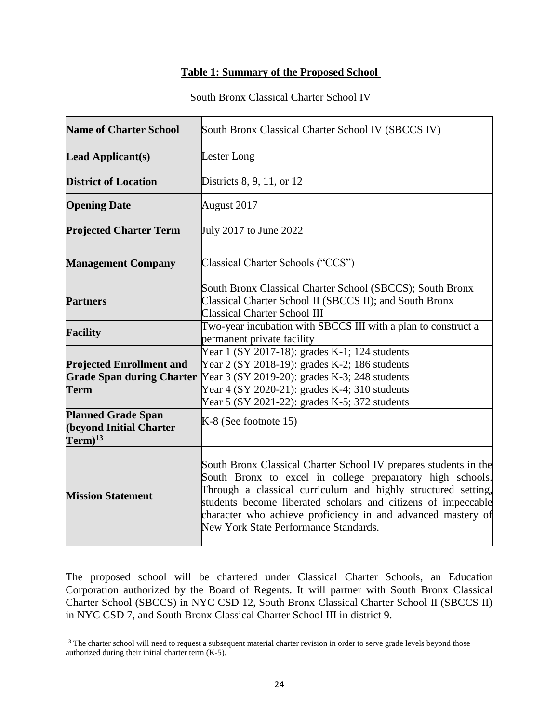#### **Table 1: Summary of the Proposed School**

#### South Bronx Classical Charter School IV

| <b>Name of Charter School</b>                                                      | South Bronx Classical Charter School IV (SBCCS IV)                                                                                                                                                                                                                                                                                                                       |  |  |
|------------------------------------------------------------------------------------|--------------------------------------------------------------------------------------------------------------------------------------------------------------------------------------------------------------------------------------------------------------------------------------------------------------------------------------------------------------------------|--|--|
| <b>Lead Applicant(s)</b>                                                           | Lester Long                                                                                                                                                                                                                                                                                                                                                              |  |  |
| <b>District of Location</b>                                                        | Districts 8, 9, 11, or 12                                                                                                                                                                                                                                                                                                                                                |  |  |
| <b>Opening Date</b>                                                                | August 2017                                                                                                                                                                                                                                                                                                                                                              |  |  |
| <b>Projected Charter Term</b>                                                      | July 2017 to June 2022                                                                                                                                                                                                                                                                                                                                                   |  |  |
| <b>Management Company</b>                                                          | Classical Charter Schools ("CCS")                                                                                                                                                                                                                                                                                                                                        |  |  |
| <b>Partners</b>                                                                    | South Bronx Classical Charter School (SBCCS); South Bronx<br>Classical Charter School II (SBCCS II); and South Bronx<br><b>Classical Charter School III</b>                                                                                                                                                                                                              |  |  |
| <b>Facility</b>                                                                    | Two-year incubation with SBCCS III with a plan to construct a<br>permanent private facility                                                                                                                                                                                                                                                                              |  |  |
| <b>Projected Enrollment and</b><br><b>Grade Span during Charter</b><br><b>Term</b> | Year 1 (SY 2017-18): grades K-1; 124 students<br>Year 2 (SY 2018-19): grades K-2; 186 students<br>Year 3 (SY 2019-20): grades K-3; 248 students<br>Year 4 (SY 2020-21): grades K-4; 310 students<br>Year 5 (SY 2021-22): grades K-5; 372 students                                                                                                                        |  |  |
| <b>Planned Grade Span</b><br><b>(beyond Initial Charter</b><br>$Term)^{13}$        | $K-8$ (See footnote 15)                                                                                                                                                                                                                                                                                                                                                  |  |  |
| <b>Mission Statement</b>                                                           | South Bronx Classical Charter School IV prepares students in the<br>South Bronx to excel in college preparatory high schools.<br>Through a classical curriculum and highly structured setting,<br>students become liberated scholars and citizens of impeccable<br>character who achieve proficiency in and advanced mastery of<br>New York State Performance Standards. |  |  |

The proposed school will be chartered under Classical Charter Schools, an Education Corporation authorized by the Board of Regents. It will partner with South Bronx Classical Charter School (SBCCS) in NYC CSD 12, South Bronx Classical Charter School II (SBCCS II) in NYC CSD 7, and South Bronx Classical Charter School III in district 9.

<sup>&</sup>lt;sup>13</sup> The charter school will need to request a subsequent material charter revision in order to serve grade levels beyond those authorized during their initial charter term (K-5).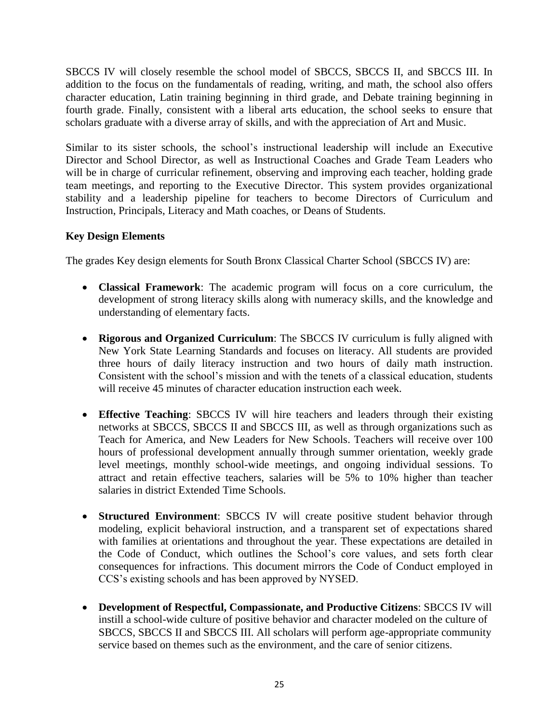SBCCS IV will closely resemble the school model of SBCCS, SBCCS II, and SBCCS III. In addition to the focus on the fundamentals of reading, writing, and math, the school also offers character education, Latin training beginning in third grade, and Debate training beginning in fourth grade. Finally, consistent with a liberal arts education, the school seeks to ensure that scholars graduate with a diverse array of skills, and with the appreciation of Art and Music.

Similar to its sister schools, the school's instructional leadership will include an Executive Director and School Director, as well as Instructional Coaches and Grade Team Leaders who will be in charge of curricular refinement, observing and improving each teacher, holding grade team meetings, and reporting to the Executive Director. This system provides organizational stability and a leadership pipeline for teachers to become Directors of Curriculum and Instruction, Principals, Literacy and Math coaches, or Deans of Students.

# **Key Design Elements**

The grades Key design elements for South Bronx Classical Charter School (SBCCS IV) are:

- **Classical Framework**: The academic program will focus on a core curriculum, the development of strong literacy skills along with numeracy skills, and the knowledge and understanding of elementary facts.
- **Rigorous and Organized Curriculum**: The SBCCS IV curriculum is fully aligned with New York State Learning Standards and focuses on literacy. All students are provided three hours of daily literacy instruction and two hours of daily math instruction. Consistent with the school's mission and with the tenets of a classical education, students will receive 45 minutes of character education instruction each week.
- **Effective Teaching**: SBCCS IV will hire teachers and leaders through their existing networks at SBCCS, SBCCS II and SBCCS III, as well as through organizations such as Teach for America, and New Leaders for New Schools. Teachers will receive over 100 hours of professional development annually through summer orientation, weekly grade level meetings, monthly school-wide meetings, and ongoing individual sessions. To attract and retain effective teachers, salaries will be 5% to 10% higher than teacher salaries in district Extended Time Schools.
- **Structured Environment**: SBCCS IV will create positive student behavior through modeling, explicit behavioral instruction, and a transparent set of expectations shared with families at orientations and throughout the year. These expectations are detailed in the Code of Conduct, which outlines the School's core values, and sets forth clear consequences for infractions. This document mirrors the Code of Conduct employed in CCS's existing schools and has been approved by NYSED.
- **Development of Respectful, Compassionate, and Productive Citizens**: SBCCS IV will instill a school-wide culture of positive behavior and character modeled on the culture of SBCCS, SBCCS II and SBCCS III. All scholars will perform age-appropriate community service based on themes such as the environment, and the care of senior citizens.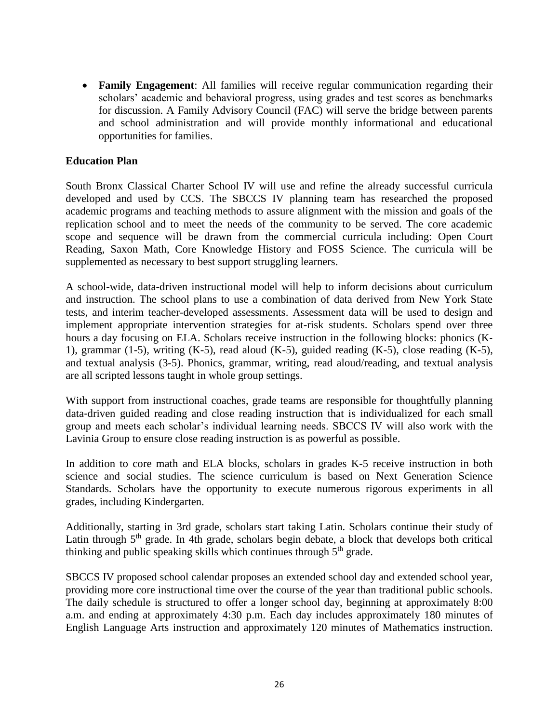**Family Engagement**: All families will receive regular communication regarding their scholars' academic and behavioral progress, using grades and test scores as benchmarks for discussion. A Family Advisory Council (FAC) will serve the bridge between parents and school administration and will provide monthly informational and educational opportunities for families.

#### **Education Plan**

South Bronx Classical Charter School IV will use and refine the already successful curricula developed and used by CCS. The SBCCS IV planning team has researched the proposed academic programs and teaching methods to assure alignment with the mission and goals of the replication school and to meet the needs of the community to be served. The core academic scope and sequence will be drawn from the commercial curricula including: Open Court Reading, Saxon Math, Core Knowledge History and FOSS Science. The curricula will be supplemented as necessary to best support struggling learners.

A school-wide, data-driven instructional model will help to inform decisions about curriculum and instruction. The school plans to use a combination of data derived from New York State tests, and interim teacher-developed assessments. Assessment data will be used to design and implement appropriate intervention strategies for at-risk students. Scholars spend over three hours a day focusing on ELA. Scholars receive instruction in the following blocks: phonics (K-1), grammar (1-5), writing (K-5), read aloud (K-5), guided reading (K-5), close reading (K-5), and textual analysis (3-5). Phonics, grammar, writing, read aloud/reading, and textual analysis are all scripted lessons taught in whole group settings.

With support from instructional coaches, grade teams are responsible for thoughtfully planning data‐driven guided reading and close reading instruction that is individualized for each small group and meets each scholar's individual learning needs. SBCCS IV will also work with the Lavinia Group to ensure close reading instruction is as powerful as possible.

In addition to core math and ELA blocks, scholars in grades K-5 receive instruction in both science and social studies. The science curriculum is based on Next Generation Science Standards. Scholars have the opportunity to execute numerous rigorous experiments in all grades, including Kindergarten.

Additionally, starting in 3rd grade, scholars start taking Latin. Scholars continue their study of Latin through 5<sup>th</sup> grade. In 4th grade, scholars begin debate, a block that develops both critical thinking and public speaking skills which continues through 5<sup>th</sup> grade.

SBCCS IV proposed school calendar proposes an extended school day and extended school year, providing more core instructional time over the course of the year than traditional public schools. The daily schedule is structured to offer a longer school day, beginning at approximately 8:00 a.m. and ending at approximately 4:30 p.m. Each day includes approximately 180 minutes of English Language Arts instruction and approximately 120 minutes of Mathematics instruction.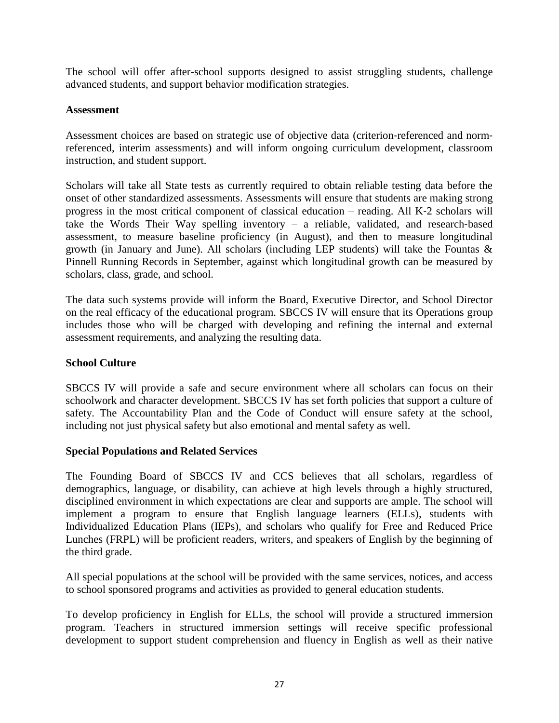The school will offer after-school supports designed to assist struggling students, challenge advanced students, and support behavior modification strategies.

#### **Assessment**

Assessment choices are based on strategic use of objective data (criterion‐referenced and norm‐ referenced, interim assessments) and will inform ongoing curriculum development, classroom instruction, and student support.

Scholars will take all State tests as currently required to obtain reliable testing data before the onset of other standardized assessments. Assessments will ensure that students are making strong progress in the most critical component of classical education – reading. All K‐2 scholars will take the Words Their Way spelling inventory – a reliable, validated, and research-based assessment, to measure baseline proficiency (in August), and then to measure longitudinal growth (in January and June). All scholars (including LEP students) will take the Fountas  $\&$ Pinnell Running Records in September, against which longitudinal growth can be measured by scholars, class, grade, and school.

The data such systems provide will inform the Board, Executive Director, and School Director on the real efficacy of the educational program. SBCCS IV will ensure that its Operations group includes those who will be charged with developing and refining the internal and external assessment requirements, and analyzing the resulting data.

#### **School Culture**

SBCCS IV will provide a safe and secure environment where all scholars can focus on their schoolwork and character development. SBCCS IV has set forth policies that support a culture of safety. The Accountability Plan and the Code of Conduct will ensure safety at the school, including not just physical safety but also emotional and mental safety as well.

#### **Special Populations and Related Services**

The Founding Board of SBCCS IV and CCS believes that all scholars, regardless of demographics, language, or disability, can achieve at high levels through a highly structured, disciplined environment in which expectations are clear and supports are ample. The school will implement a program to ensure that English language learners (ELLs), students with Individualized Education Plans (IEPs), and scholars who qualify for Free and Reduced Price Lunches (FRPL) will be proficient readers, writers, and speakers of English by the beginning of the third grade.

All special populations at the school will be provided with the same services, notices, and access to school sponsored programs and activities as provided to general education students.

To develop proficiency in English for ELLs, the school will provide a structured immersion program. Teachers in structured immersion settings will receive specific professional development to support student comprehension and fluency in English as well as their native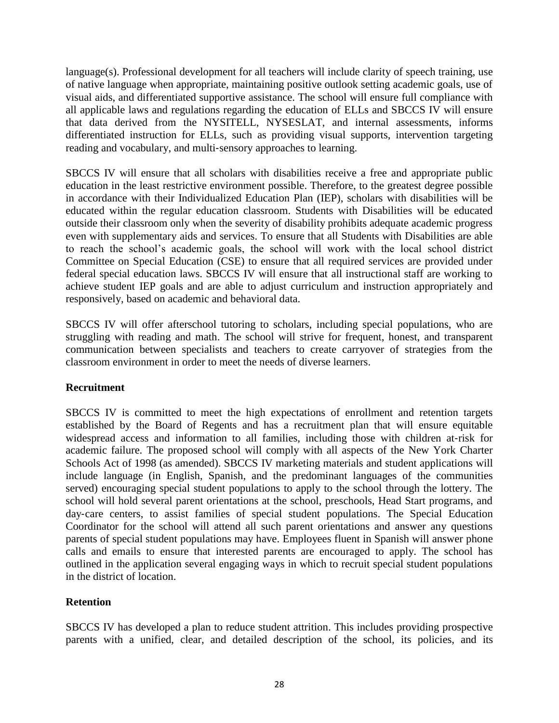language(s). Professional development for all teachers will include clarity of speech training, use of native language when appropriate, maintaining positive outlook setting academic goals, use of visual aids, and differentiated supportive assistance. The school will ensure full compliance with all applicable laws and regulations regarding the education of ELLs and SBCCS IV will ensure that data derived from the NYSITELL, NYSESLAT, and internal assessments, informs differentiated instruction for ELLs, such as providing visual supports, intervention targeting reading and vocabulary, and multi‐sensory approaches to learning.

SBCCS IV will ensure that all scholars with disabilities receive a free and appropriate public education in the least restrictive environment possible. Therefore, to the greatest degree possible in accordance with their Individualized Education Plan (IEP), scholars with disabilities will be educated within the regular education classroom. Students with Disabilities will be educated outside their classroom only when the severity of disability prohibits adequate academic progress even with supplementary aids and services. To ensure that all Students with Disabilities are able to reach the school's academic goals, the school will work with the local school district Committee on Special Education (CSE) to ensure that all required services are provided under federal special education laws. SBCCS IV will ensure that all instructional staff are working to achieve student IEP goals and are able to adjust curriculum and instruction appropriately and responsively, based on academic and behavioral data.

SBCCS IV will offer afterschool tutoring to scholars, including special populations, who are struggling with reading and math. The school will strive for frequent, honest, and transparent communication between specialists and teachers to create carryover of strategies from the classroom environment in order to meet the needs of diverse learners.

# **Recruitment**

SBCCS IV is committed to meet the high expectations of enrollment and retention targets established by the Board of Regents and has a recruitment plan that will ensure equitable widespread access and information to all families, including those with children at-risk for academic failure. The proposed school will comply with all aspects of the New York Charter Schools Act of 1998 (as amended). SBCCS IV marketing materials and student applications will include language (in English, Spanish, and the predominant languages of the communities served) encouraging special student populations to apply to the school through the lottery. The school will hold several parent orientations at the school, preschools, Head Start programs, and day‐care centers, to assist families of special student populations. The Special Education Coordinator for the school will attend all such parent orientations and answer any questions parents of special student populations may have. Employees fluent in Spanish will answer phone calls and emails to ensure that interested parents are encouraged to apply. The school has outlined in the application several engaging ways in which to recruit special student populations in the district of location.

# **Retention**

SBCCS IV has developed a plan to reduce student attrition. This includes providing prospective parents with a unified, clear, and detailed description of the school, its policies, and its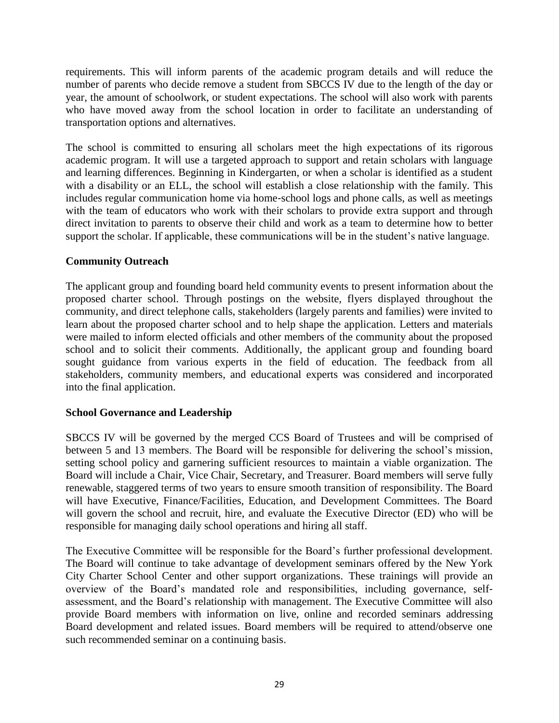requirements. This will inform parents of the academic program details and will reduce the number of parents who decide remove a student from SBCCS IV due to the length of the day or year, the amount of schoolwork, or student expectations. The school will also work with parents who have moved away from the school location in order to facilitate an understanding of transportation options and alternatives.

The school is committed to ensuring all scholars meet the high expectations of its rigorous academic program. It will use a targeted approach to support and retain scholars with language and learning differences. Beginning in Kindergarten, or when a scholar is identified as a student with a disability or an ELL, the school will establish a close relationship with the family. This includes regular communication home via home‐school logs and phone calls, as well as meetings with the team of educators who work with their scholars to provide extra support and through direct invitation to parents to observe their child and work as a team to determine how to better support the scholar. If applicable, these communications will be in the student's native language.

# **Community Outreach**

The applicant group and founding board held community events to present information about the proposed charter school. Through postings on the website, flyers displayed throughout the community, and direct telephone calls, stakeholders (largely parents and families) were invited to learn about the proposed charter school and to help shape the application. Letters and materials were mailed to inform elected officials and other members of the community about the proposed school and to solicit their comments. Additionally, the applicant group and founding board sought guidance from various experts in the field of education. The feedback from all stakeholders, community members, and educational experts was considered and incorporated into the final application.

#### **School Governance and Leadership**

SBCCS IV will be governed by the merged CCS Board of Trustees and will be comprised of between 5 and 13 members. The Board will be responsible for delivering the school's mission, setting school policy and garnering sufficient resources to maintain a viable organization. The Board will include a Chair, Vice Chair, Secretary, and Treasurer. Board members will serve fully renewable, staggered terms of two years to ensure smooth transition of responsibility. The Board will have Executive, Finance/Facilities, Education, and Development Committees. The Board will govern the school and recruit, hire, and evaluate the Executive Director (ED) who will be responsible for managing daily school operations and hiring all staff.

The Executive Committee will be responsible for the Board's further professional development. The Board will continue to take advantage of development seminars offered by the New York City Charter School Center and other support organizations. These trainings will provide an overview of the Board's mandated role and responsibilities, including governance, self‐ assessment, and the Board's relationship with management. The Executive Committee will also provide Board members with information on live, online and recorded seminars addressing Board development and related issues. Board members will be required to attend/observe one such recommended seminar on a continuing basis.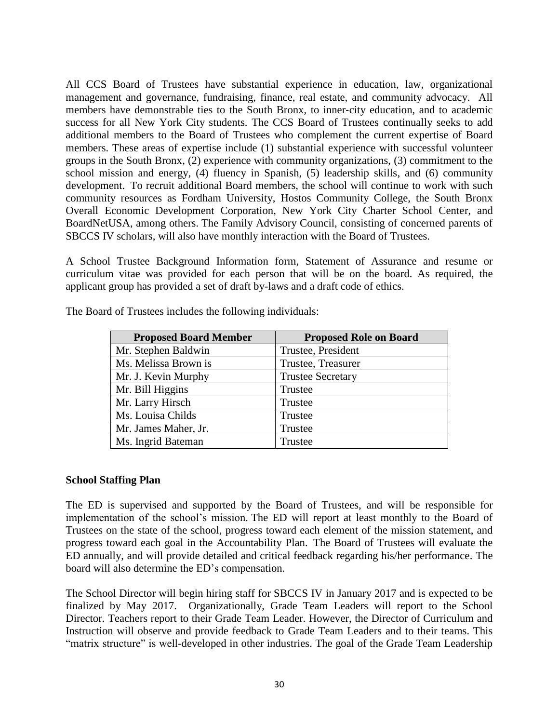All CCS Board of Trustees have substantial experience in education, law, organizational management and governance, fundraising, finance, real estate, and community advocacy. All members have demonstrable ties to the South Bronx, to inner‐city education, and to academic success for all New York City students. The CCS Board of Trustees continually seeks to add additional members to the Board of Trustees who complement the current expertise of Board members. These areas of expertise include (1) substantial experience with successful volunteer groups in the South Bronx, (2) experience with community organizations, (3) commitment to the school mission and energy, (4) fluency in Spanish, (5) leadership skills, and (6) community development. To recruit additional Board members, the school will continue to work with such community resources as Fordham University, Hostos Community College, the South Bronx Overall Economic Development Corporation, New York City Charter School Center, and BoardNetUSA, among others. The Family Advisory Council, consisting of concerned parents of SBCCS IV scholars, will also have monthly interaction with the Board of Trustees.

A School Trustee Background Information form, Statement of Assurance and resume or curriculum vitae was provided for each person that will be on the board. As required, the applicant group has provided a set of draft by-laws and a draft code of ethics.

| <b>Proposed Board Member</b> | <b>Proposed Role on Board</b> |
|------------------------------|-------------------------------|
| Mr. Stephen Baldwin          | Trustee, President            |
| Ms. Melissa Brown is         | Trustee, Treasurer            |
| Mr. J. Kevin Murphy          | <b>Trustee Secretary</b>      |
| Mr. Bill Higgins             | Trustee                       |
| Mr. Larry Hirsch             | Trustee                       |
| Ms. Louisa Childs            | Trustee                       |
| Mr. James Maher, Jr.         | Trustee                       |
| Ms. Ingrid Bateman           | Trustee                       |

The Board of Trustees includes the following individuals:

#### **School Staffing Plan**

The ED is supervised and supported by the Board of Trustees, and will be responsible for implementation of the school's mission. The ED will report at least monthly to the Board of Trustees on the state of the school, progress toward each element of the mission statement, and progress toward each goal in the Accountability Plan. The Board of Trustees will evaluate the ED annually, and will provide detailed and critical feedback regarding his/her performance. The board will also determine the ED's compensation.

The School Director will begin hiring staff for SBCCS IV in January 2017 and is expected to be finalized by May 2017. Organizationally, Grade Team Leaders will report to the School Director. Teachers report to their Grade Team Leader. However, the Director of Curriculum and Instruction will observe and provide feedback to Grade Team Leaders and to their teams. This "matrix structure" is well-developed in other industries. The goal of the Grade Team Leadership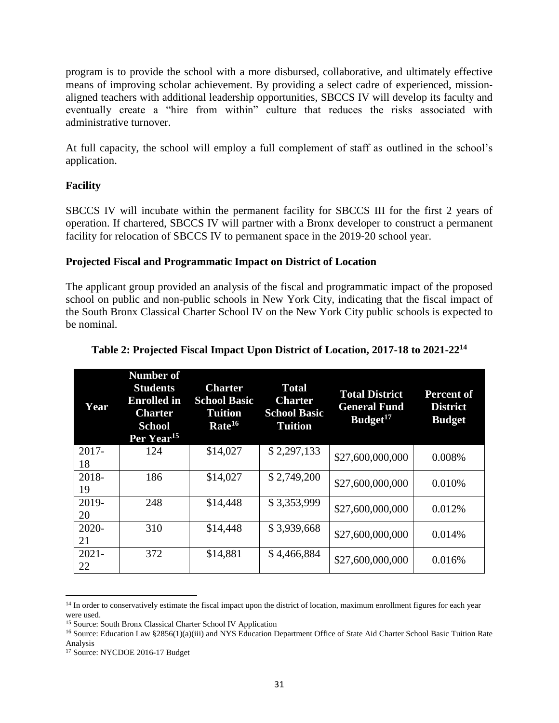program is to provide the school with a more disbursed, collaborative, and ultimately effective means of improving scholar achievement. By providing a select cadre of experienced, missionaligned teachers with additional leadership opportunities, SBCCS IV will develop its faculty and eventually create a "hire from within" culture that reduces the risks associated with administrative turnover.

At full capacity, the school will employ a full complement of staff as outlined in the school's application.

# **Facility**

SBCCS IV will incubate within the permanent facility for SBCCS III for the first 2 years of operation. If chartered, SBCCS IV will partner with a Bronx developer to construct a permanent facility for relocation of SBCCS IV to permanent space in the 2019‐20 school year.

#### **Projected Fiscal and Programmatic Impact on District of Location**

The applicant group provided an analysis of the fiscal and programmatic impact of the proposed school on public and non-public schools in New York City, indicating that the fiscal impact of the South Bronx Classical Charter School IV on the New York City public schools is expected to be nominal.

| Year           | <b>Number of</b><br><b>Students</b><br><b>Enrolled</b> in<br><b>Charter</b><br><b>School</b><br>Per Year <sup>15</sup> | <b>Charter</b><br><b>School Basic</b><br><b>Tuition</b><br>Rate <sup>16</sup> | <b>Total</b><br><b>Charter</b><br><b>School Basic</b><br><b>Tuition</b> | <b>Total District</b><br><b>General Fund</b><br>Budget <sup>17</sup> | <b>Percent of</b><br><b>District</b><br><b>Budget</b> |
|----------------|------------------------------------------------------------------------------------------------------------------------|-------------------------------------------------------------------------------|-------------------------------------------------------------------------|----------------------------------------------------------------------|-------------------------------------------------------|
| 2017-<br>18    | 124                                                                                                                    | \$14,027                                                                      | \$2,297,133                                                             | \$27,600,000,000                                                     | 0.008%                                                |
| 2018-<br>19    | 186                                                                                                                    | \$14,027                                                                      | \$2,749,200                                                             | \$27,600,000,000                                                     | 0.010%                                                |
| 2019-<br>20    | 248                                                                                                                    | \$14,448                                                                      | \$3,353,999                                                             | \$27,600,000,000                                                     | 0.012%                                                |
| 2020-<br>21    | 310                                                                                                                    | \$14,448                                                                      | \$3,939,668                                                             | \$27,600,000,000                                                     | 0.014%                                                |
| $2021 -$<br>22 | 372                                                                                                                    | \$14,881                                                                      | \$4,466,884                                                             | \$27,600,000,000                                                     | 0.016%                                                |

# **Table 2: Projected Fiscal Impact Upon District of Location, 2017-18 to 2021-22<sup>14</sup>**

<sup>&</sup>lt;sup>14</sup> In order to conservatively estimate the fiscal impact upon the district of location, maximum enrollment figures for each year were used.

<sup>15</sup> Source: South Bronx Classical Charter School IV Application

<sup>&</sup>lt;sup>16</sup> Source: Education Law §2856(1)(a)(iii) and NYS Education Department Office of State Aid Charter School Basic Tuition Rate Analysis

<sup>&</sup>lt;sup>17</sup> Source: NYCDOE 2016-17 Budget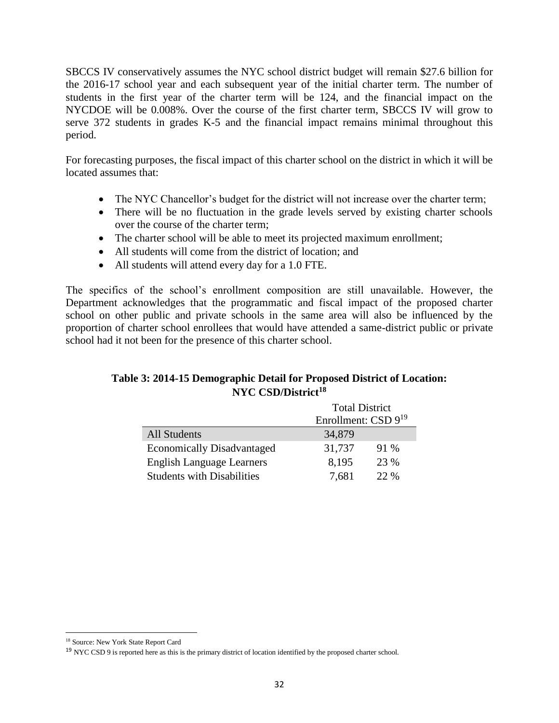SBCCS IV conservatively assumes the NYC school district budget will remain \$27.6 billion for the 2016-17 school year and each subsequent year of the initial charter term. The number of students in the first year of the charter term will be 124, and the financial impact on the NYCDOE will be 0.008%. Over the course of the first charter term, SBCCS IV will grow to serve 372 students in grades K-5 and the financial impact remains minimal throughout this period.

For forecasting purposes, the fiscal impact of this charter school on the district in which it will be located assumes that:

- The NYC Chancellor's budget for the district will not increase over the charter term;
- There will be no fluctuation in the grade levels served by existing charter schools over the course of the charter term;
- The charter school will be able to meet its projected maximum enrollment;
- All students will come from the district of location; and
- All students will attend every day for a 1.0 FTE.

The specifics of the school's enrollment composition are still unavailable. However, the Department acknowledges that the programmatic and fiscal impact of the proposed charter school on other public and private schools in the same area will also be influenced by the proportion of charter school enrollees that would have attended a same-district public or private school had it not been for the presence of this charter school.

# **Table 3: 2014-15 Demographic Detail for Proposed District of Location: NYC CSD/District<sup>18</sup>**

|                                   | <b>Total District</b>    |      |  |
|-----------------------------------|--------------------------|------|--|
|                                   | Enrollment: CSD $9^{19}$ |      |  |
| <b>All Students</b>               | 34,879                   |      |  |
| <b>Economically Disadvantaged</b> | 31,737                   | 91 % |  |
| <b>English Language Learners</b>  | 8,195                    | 23 % |  |
| <b>Students with Disabilities</b> | 7,681                    | 22 % |  |

<sup>18</sup> Source: New York State Report Card

<sup>&</sup>lt;sup>19</sup> NYC CSD 9 is reported here as this is the primary district of location identified by the proposed charter school.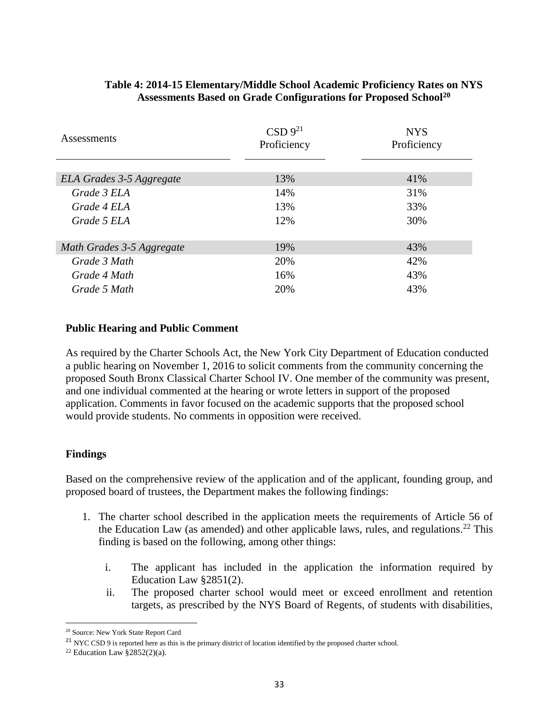| Assessments               | CSD 9 <sup>21</sup><br>Proficiency | <b>NYS</b><br>Proficiency |
|---------------------------|------------------------------------|---------------------------|
| ELA Grades 3-5 Aggregate  | 13%                                | 41%                       |
| Grade 3 ELA               | 14%                                | 31%                       |
| Grade 4 ELA               | 13%                                | 33%                       |
| Grade 5 ELA               | 12%                                | 30%                       |
| Math Grades 3-5 Aggregate | 19%                                | 43%                       |
| Grade 3 Math              | 20%                                | 42%                       |
| Grade 4 Math              | 16%                                | 43%                       |
| Grade 5 Math              | 20%                                | 43%                       |

# **Table 4: 2014-15 Elementary/Middle School Academic Proficiency Rates on NYS Assessments Based on Grade Configurations for Proposed School<sup>20</sup>**

# **Public Hearing and Public Comment**

As required by the Charter Schools Act, the New York City Department of Education conducted a public hearing on November 1, 2016 to solicit comments from the community concerning the proposed South Bronx Classical Charter School IV. One member of the community was present, and one individual commented at the hearing or wrote letters in support of the proposed application. Comments in favor focused on the academic supports that the proposed school would provide students. No comments in opposition were received.

# **Findings**

Based on the comprehensive review of the application and of the applicant, founding group, and proposed board of trustees, the Department makes the following findings:

- 1. The charter school described in the application meets the requirements of Article 56 of the Education Law (as amended) and other applicable laws, rules, and regulations.<sup>22</sup> This finding is based on the following, among other things:
	- i. The applicant has included in the application the information required by Education Law §2851(2).
	- ii. The proposed charter school would meet or exceed enrollment and retention targets, as prescribed by the NYS Board of Regents, of students with disabilities,

 $\overline{a}$ <sup>20</sup> Source: New York State Report Card

<sup>&</sup>lt;sup>21</sup> NYC CSD 9 is reported here as this is the primary district of location identified by the proposed charter school.

<sup>&</sup>lt;sup>22</sup> Education Law  $\S 2852(2)(a)$ .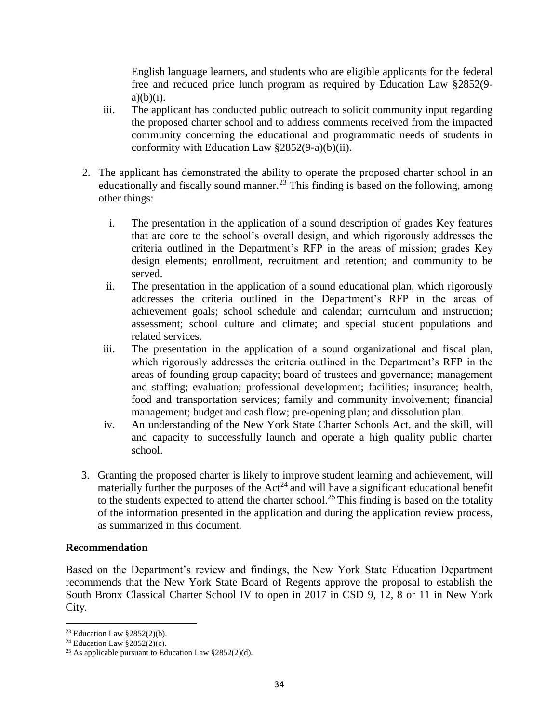English language learners, and students who are eligible applicants for the federal free and reduced price lunch program as required by Education Law §2852(9  $a)(b)(i)$ .

- iii. The applicant has conducted public outreach to solicit community input regarding the proposed charter school and to address comments received from the impacted community concerning the educational and programmatic needs of students in conformity with Education Law §2852(9-a)(b)(ii).
- 2. The applicant has demonstrated the ability to operate the proposed charter school in an educationally and fiscally sound manner.<sup>23</sup> This finding is based on the following, among other things:
	- i. The presentation in the application of a sound description of grades Key features that are core to the school's overall design, and which rigorously addresses the criteria outlined in the Department's RFP in the areas of mission; grades Key design elements; enrollment, recruitment and retention; and community to be served.
	- ii. The presentation in the application of a sound educational plan, which rigorously addresses the criteria outlined in the Department's RFP in the areas of achievement goals; school schedule and calendar; curriculum and instruction; assessment; school culture and climate; and special student populations and related services.
	- iii. The presentation in the application of a sound organizational and fiscal plan, which rigorously addresses the criteria outlined in the Department's RFP in the areas of founding group capacity; board of trustees and governance; management and staffing; evaluation; professional development; facilities; insurance; health, food and transportation services; family and community involvement; financial management; budget and cash flow; pre-opening plan; and dissolution plan.
	- iv. An understanding of the New York State Charter Schools Act, and the skill, will and capacity to successfully launch and operate a high quality public charter school.
- 3. Granting the proposed charter is likely to improve student learning and achievement, will materially further the purposes of the  $Act^{24}$  and will have a significant educational benefit to the students expected to attend the charter school.<sup>25</sup> This finding is based on the totality of the information presented in the application and during the application review process, as summarized in this document.

#### **Recommendation**

Based on the Department's review and findings, the New York State Education Department recommends that the New York State Board of Regents approve the proposal to establish the South Bronx Classical Charter School IV to open in 2017 in CSD 9, 12, 8 or 11 in New York City.

<sup>&</sup>lt;sup>23</sup> Education Law  $\S 2852(2)(b)$ .

<sup>&</sup>lt;sup>24</sup> Education Law  $\S$ 2852(2)(c).

<sup>&</sup>lt;sup>25</sup> As applicable pursuant to Education Law  $\S 2852(2)(d)$ .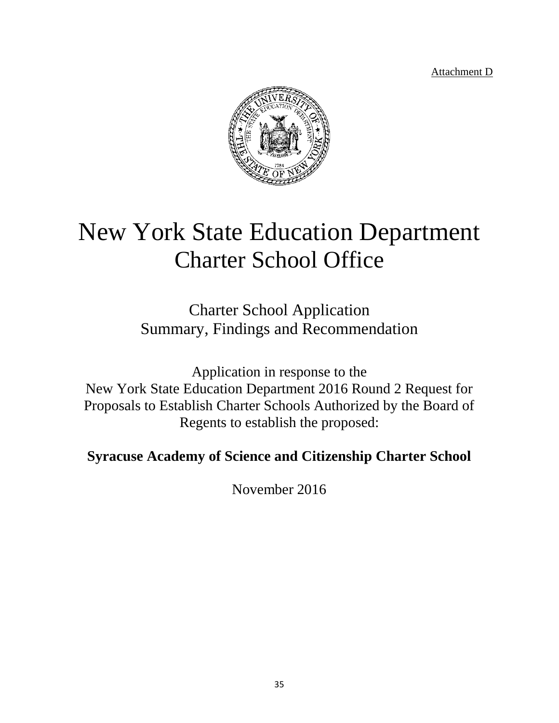Attachment D



# New York State Education Department Charter School Office

Charter School Application Summary, Findings and Recommendation

Application in response to the New York State Education Department 2016 Round 2 Request for Proposals to Establish Charter Schools Authorized by the Board of Regents to establish the proposed:

**Syracuse Academy of Science and Citizenship Charter School**

November 2016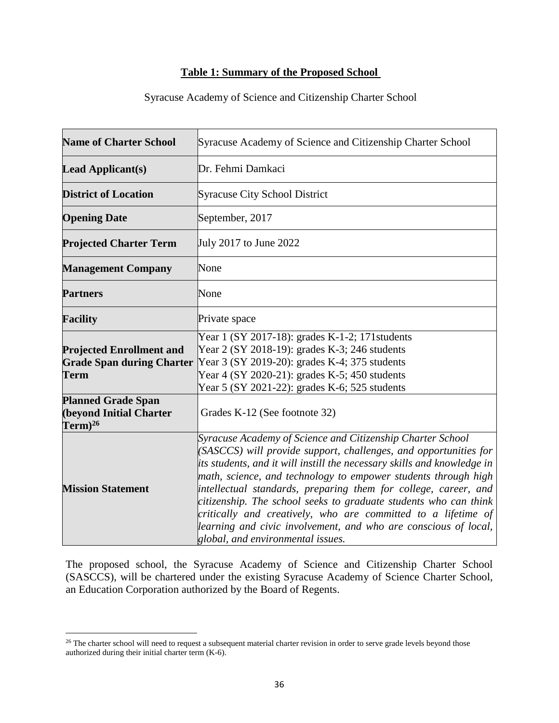# **Table 1: Summary of the Proposed School**

| Syracuse Academy of Science and Citizenship Charter School |  |  |
|------------------------------------------------------------|--|--|
|                                                            |  |  |

| <b>Name of Charter School</b>                                                      | Syracuse Academy of Science and Citizenship Charter School                                                                                                                                                                                                                                                                                                                                                                                                                                                                                                                                  |  |  |
|------------------------------------------------------------------------------------|---------------------------------------------------------------------------------------------------------------------------------------------------------------------------------------------------------------------------------------------------------------------------------------------------------------------------------------------------------------------------------------------------------------------------------------------------------------------------------------------------------------------------------------------------------------------------------------------|--|--|
| <b>Lead Applicant(s)</b>                                                           | Dr. Fehmi Damkaci                                                                                                                                                                                                                                                                                                                                                                                                                                                                                                                                                                           |  |  |
| <b>District of Location</b>                                                        | <b>Syracuse City School District</b>                                                                                                                                                                                                                                                                                                                                                                                                                                                                                                                                                        |  |  |
| <b>Opening Date</b>                                                                | September, 2017                                                                                                                                                                                                                                                                                                                                                                                                                                                                                                                                                                             |  |  |
| <b>Projected Charter Term</b>                                                      | July 2017 to June 2022                                                                                                                                                                                                                                                                                                                                                                                                                                                                                                                                                                      |  |  |
| <b>Management Company</b>                                                          | None                                                                                                                                                                                                                                                                                                                                                                                                                                                                                                                                                                                        |  |  |
| <b>Partners</b>                                                                    | None                                                                                                                                                                                                                                                                                                                                                                                                                                                                                                                                                                                        |  |  |
| <b>Facility</b>                                                                    | Private space                                                                                                                                                                                                                                                                                                                                                                                                                                                                                                                                                                               |  |  |
| <b>Projected Enrollment and</b><br><b>Grade Span during Charter</b><br><b>Term</b> | Year 1 (SY 2017-18): grades K-1-2; 171 students<br>Year 2 (SY 2018-19): grades K-3; 246 students<br>Year 3 (SY 2019-20): grades K-4; 375 students<br>Year 4 (SY 2020-21): grades K-5; 450 students<br>Year 5 (SY 2021-22): grades K-6; 525 students                                                                                                                                                                                                                                                                                                                                         |  |  |
| <b>Planned Grade Span</b><br><b>(beyond Initial Charter</b><br>$Term)^{26}$        | Grades K-12 (See footnote 32)                                                                                                                                                                                                                                                                                                                                                                                                                                                                                                                                                               |  |  |
| <b>Mission Statement</b>                                                           | Syracuse Academy of Science and Citizenship Charter School<br>(SASCCS) will provide support, challenges, and opportunities for<br>its students, and it will instill the necessary skills and knowledge in<br>math, science, and technology to empower students through high<br>intellectual standards, preparing them for college, career, and<br>citizenship. The school seeks to graduate students who can think<br>critically and creatively, who are committed to a lifetime of<br>learning and civic involvement, and who are conscious of local,<br>global, and environmental issues. |  |  |

The proposed school, the Syracuse Academy of Science and Citizenship Charter School (SASCCS), will be chartered under the existing Syracuse Academy of Science Charter School, an Education Corporation authorized by the Board of Regents.

 $26$  The charter school will need to request a subsequent material charter revision in order to serve grade levels beyond those authorized during their initial charter term (K-6).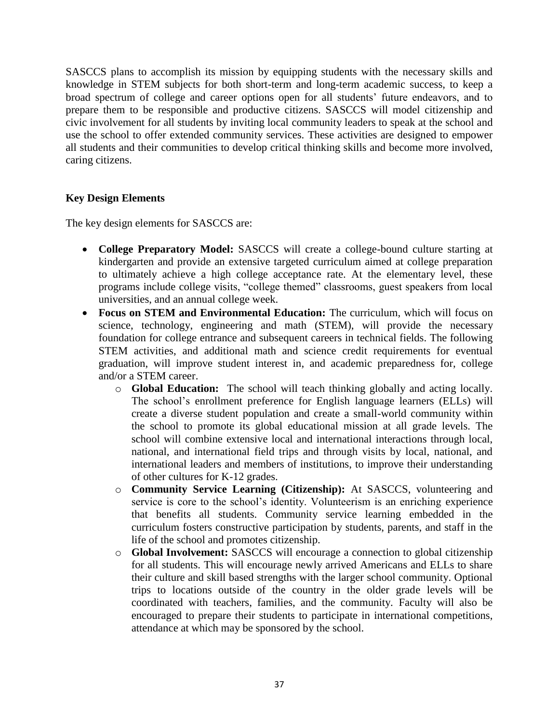SASCCS plans to accomplish its mission by equipping students with the necessary skills and knowledge in STEM subjects for both short-term and long-term academic success, to keep a broad spectrum of college and career options open for all students' future endeavors, and to prepare them to be responsible and productive citizens. SASCCS will model citizenship and civic involvement for all students by inviting local community leaders to speak at the school and use the school to offer extended community services. These activities are designed to empower all students and their communities to develop critical thinking skills and become more involved, caring citizens.

#### **Key Design Elements**

The key design elements for SASCCS are:

- **College Preparatory Model:** SASCCS will create a college-bound culture starting at kindergarten and provide an extensive targeted curriculum aimed at college preparation to ultimately achieve a high college acceptance rate. At the elementary level, these programs include college visits, "college themed" classrooms, guest speakers from local universities, and an annual college week.
- **Focus on STEM and Environmental Education:** The curriculum, which will focus on science, technology, engineering and math (STEM), will provide the necessary foundation for college entrance and subsequent careers in technical fields. The following STEM activities, and additional math and science credit requirements for eventual graduation, will improve student interest in, and academic preparedness for, college and/or a STEM career.
	- o **Global Education:** The school will teach thinking globally and acting locally. The school's enrollment preference for English language learners (ELLs) will create a diverse student population and create a small-world community within the school to promote its global educational mission at all grade levels. The school will combine extensive local and international interactions through local, national, and international field trips and through visits by local, national, and international leaders and members of institutions, to improve their understanding of other cultures for K-12 grades.
	- o **Community Service Learning (Citizenship):** At SASCCS, volunteering and service is core to the school's identity. Volunteerism is an enriching experience that benefits all students. Community service learning embedded in the curriculum fosters constructive participation by students, parents, and staff in the life of the school and promotes citizenship.
	- o **Global Involvement:** SASCCS will encourage a connection to global citizenship for all students. This will encourage newly arrived Americans and ELLs to share their culture and skill based strengths with the larger school community. Optional trips to locations outside of the country in the older grade levels will be coordinated with teachers, families, and the community. Faculty will also be encouraged to prepare their students to participate in international competitions, attendance at which may be sponsored by the school.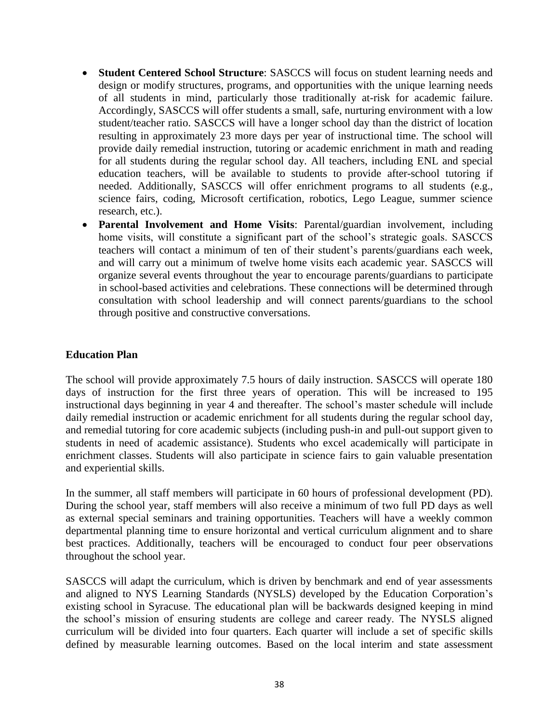- **Student Centered School Structure**: SASCCS will focus on student learning needs and design or modify structures, programs, and opportunities with the unique learning needs of all students in mind, particularly those traditionally at-risk for academic failure. Accordingly, SASCCS will offer students a small, safe, nurturing environment with a low student/teacher ratio. SASCCS will have a longer school day than the district of location resulting in approximately 23 more days per year of instructional time. The school will provide daily remedial instruction, tutoring or academic enrichment in math and reading for all students during the regular school day. All teachers, including ENL and special education teachers, will be available to students to provide after-school tutoring if needed. Additionally, SASCCS will offer enrichment programs to all students (e.g., science fairs, coding, Microsoft certification, robotics, Lego League, summer science research, etc.).
- **Parental Involvement and Home Visits**: Parental/guardian involvement, including home visits, will constitute a significant part of the school's strategic goals. SASCCS teachers will contact a minimum of ten of their student's parents/guardians each week, and will carry out a minimum of twelve home visits each academic year. SASCCS will organize several events throughout the year to encourage parents/guardians to participate in school-based activities and celebrations. These connections will be determined through consultation with school leadership and will connect parents/guardians to the school through positive and constructive conversations.

# **Education Plan**

The school will provide approximately 7.5 hours of daily instruction. SASCCS will operate 180 days of instruction for the first three years of operation. This will be increased to 195 instructional days beginning in year 4 and thereafter. The school's master schedule will include daily remedial instruction or academic enrichment for all students during the regular school day, and remedial tutoring for core academic subjects (including push-in and pull-out support given to students in need of academic assistance). Students who excel academically will participate in enrichment classes. Students will also participate in science fairs to gain valuable presentation and experiential skills.

In the summer, all staff members will participate in 60 hours of professional development (PD). During the school year, staff members will also receive a minimum of two full PD days as well as external special seminars and training opportunities. Teachers will have a weekly common departmental planning time to ensure horizontal and vertical curriculum alignment and to share best practices. Additionally, teachers will be encouraged to conduct four peer observations throughout the school year.

SASCCS will adapt the curriculum, which is driven by benchmark and end of year assessments and aligned to NYS Learning Standards (NYSLS) developed by the Education Corporation's existing school in Syracuse. The educational plan will be backwards designed keeping in mind the school's mission of ensuring students are college and career ready. The NYSLS aligned curriculum will be divided into four quarters. Each quarter will include a set of specific skills defined by measurable learning outcomes. Based on the local interim and state assessment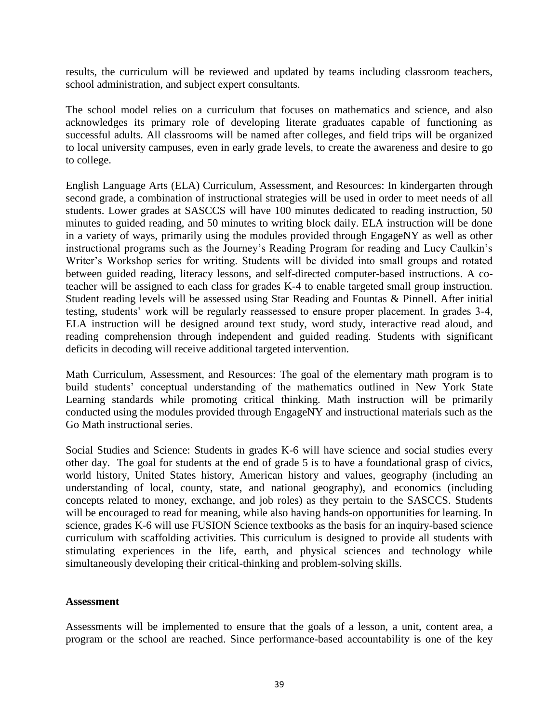results, the curriculum will be reviewed and updated by teams including classroom teachers, school administration, and subject expert consultants.

The school model relies on a curriculum that focuses on mathematics and science, and also acknowledges its primary role of developing literate graduates capable of functioning as successful adults. All classrooms will be named after colleges, and field trips will be organized to local university campuses, even in early grade levels, to create the awareness and desire to go to college.

English Language Arts (ELA) Curriculum, Assessment, and Resources: In kindergarten through second grade, a combination of instructional strategies will be used in order to meet needs of all students. Lower grades at SASCCS will have 100 minutes dedicated to reading instruction, 50 minutes to guided reading, and 50 minutes to writing block daily. ELA instruction will be done in a variety of ways, primarily using the modules provided through EngageNY as well as other instructional programs such as the Journey's Reading Program for reading and Lucy Caulkin's Writer's Workshop series for writing. Students will be divided into small groups and rotated between guided reading, literacy lessons, and self-directed computer-based instructions. A coteacher will be assigned to each class for grades K-4 to enable targeted small group instruction. Student reading levels will be assessed using Star Reading and Fountas & Pinnell. After initial testing, students' work will be regularly reassessed to ensure proper placement. In grades 3-4, ELA instruction will be designed around text study, word study, interactive read aloud, and reading comprehension through independent and guided reading. Students with significant deficits in decoding will receive additional targeted intervention.

Math Curriculum, Assessment, and Resources: The goal of the elementary math program is to build students' conceptual understanding of the mathematics outlined in New York State Learning standards while promoting critical thinking. Math instruction will be primarily conducted using the modules provided through EngageNY and instructional materials such as the Go Math instructional series.

Social Studies and Science: Students in grades K-6 will have science and social studies every other day. The goal for students at the end of grade 5 is to have a foundational grasp of civics, world history, United States history, American history and values, geography (including an understanding of local, county, state, and national geography), and economics (including concepts related to money, exchange, and job roles) as they pertain to the SASCCS. Students will be encouraged to read for meaning, while also having hands-on opportunities for learning. In science, grades K-6 will use FUSION Science textbooks as the basis for an inquiry-based science curriculum with scaffolding activities. This curriculum is designed to provide all students with stimulating experiences in the life, earth, and physical sciences and technology while simultaneously developing their critical-thinking and problem-solving skills.

#### **Assessment**

Assessments will be implemented to ensure that the goals of a lesson, a unit, content area, a program or the school are reached. Since performance-based accountability is one of the key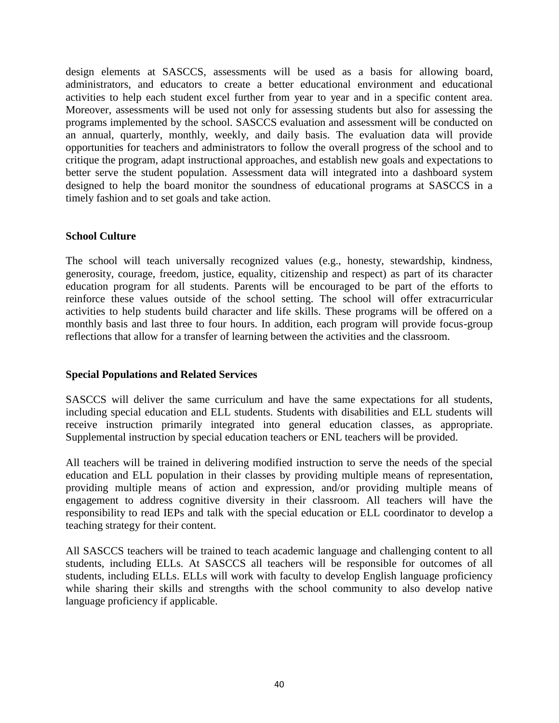design elements at SASCCS, assessments will be used as a basis for allowing board, administrators, and educators to create a better educational environment and educational activities to help each student excel further from year to year and in a specific content area. Moreover, assessments will be used not only for assessing students but also for assessing the programs implemented by the school. SASCCS evaluation and assessment will be conducted on an annual, quarterly, monthly, weekly, and daily basis. The evaluation data will provide opportunities for teachers and administrators to follow the overall progress of the school and to critique the program, adapt instructional approaches, and establish new goals and expectations to better serve the student population. Assessment data will integrated into a dashboard system designed to help the board monitor the soundness of educational programs at SASCCS in a timely fashion and to set goals and take action.

#### **School Culture**

The school will teach universally recognized values (e.g., honesty, stewardship, kindness, generosity, courage, freedom, justice, equality, citizenship and respect) as part of its character education program for all students. Parents will be encouraged to be part of the efforts to reinforce these values outside of the school setting. The school will offer extracurricular activities to help students build character and life skills. These programs will be offered on a monthly basis and last three to four hours. In addition, each program will provide focus-group reflections that allow for a transfer of learning between the activities and the classroom.

# **Special Populations and Related Services**

SASCCS will deliver the same curriculum and have the same expectations for all students, including special education and ELL students. Students with disabilities and ELL students will receive instruction primarily integrated into general education classes, as appropriate. Supplemental instruction by special education teachers or ENL teachers will be provided.

All teachers will be trained in delivering modified instruction to serve the needs of the special education and ELL population in their classes by providing multiple means of representation, providing multiple means of action and expression, and/or providing multiple means of engagement to address cognitive diversity in their classroom. All teachers will have the responsibility to read IEPs and talk with the special education or ELL coordinator to develop a teaching strategy for their content.

All SASCCS teachers will be trained to teach academic language and challenging content to all students, including ELLs. At SASCCS all teachers will be responsible for outcomes of all students, including ELLs. ELLs will work with faculty to develop English language proficiency while sharing their skills and strengths with the school community to also develop native language proficiency if applicable.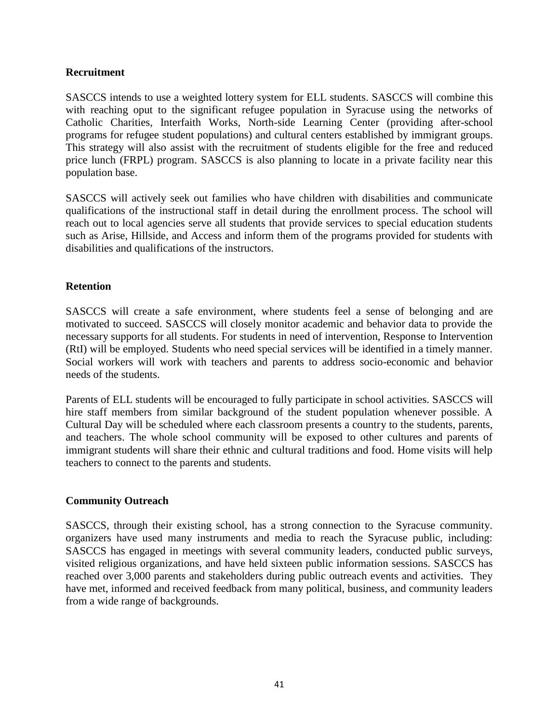#### **Recruitment**

SASCCS intends to use a weighted lottery system for ELL students. SASCCS will combine this with reaching oput to the significant refugee population in Syracuse using the networks of Catholic Charities, Interfaith Works, North-side Learning Center (providing after-school programs for refugee student populations) and cultural centers established by immigrant groups. This strategy will also assist with the recruitment of students eligible for the free and reduced price lunch (FRPL) program. SASCCS is also planning to locate in a private facility near this population base.

SASCCS will actively seek out families who have children with disabilities and communicate qualifications of the instructional staff in detail during the enrollment process. The school will reach out to local agencies serve all students that provide services to special education students such as Arise, Hillside, and Access and inform them of the programs provided for students with disabilities and qualifications of the instructors.

#### **Retention**

SASCCS will create a safe environment, where students feel a sense of belonging and are motivated to succeed. SASCCS will closely monitor academic and behavior data to provide the necessary supports for all students. For students in need of intervention, Response to Intervention (RtI) will be employed. Students who need special services will be identified in a timely manner. Social workers will work with teachers and parents to address socio-economic and behavior needs of the students.

Parents of ELL students will be encouraged to fully participate in school activities. SASCCS will hire staff members from similar background of the student population whenever possible. A Cultural Day will be scheduled where each classroom presents a country to the students, parents, and teachers. The whole school community will be exposed to other cultures and parents of immigrant students will share their ethnic and cultural traditions and food. Home visits will help teachers to connect to the parents and students.

# **Community Outreach**

SASCCS, through their existing school, has a strong connection to the Syracuse community. organizers have used many instruments and media to reach the Syracuse public, including: SASCCS has engaged in meetings with several community leaders, conducted public surveys, visited religious organizations, and have held sixteen public information sessions. SASCCS has reached over 3,000 parents and stakeholders during public outreach events and activities. They have met, informed and received feedback from many political, business, and community leaders from a wide range of backgrounds.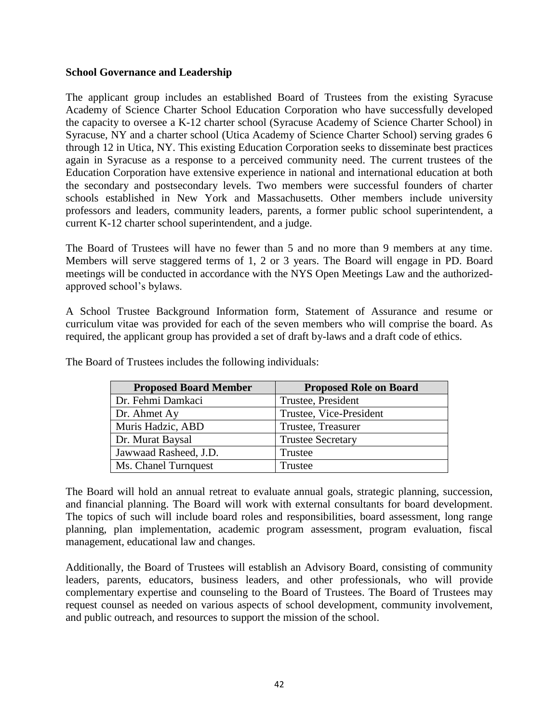#### **School Governance and Leadership**

The applicant group includes an established Board of Trustees from the existing Syracuse Academy of Science Charter School Education Corporation who have successfully developed the capacity to oversee a K-12 charter school (Syracuse Academy of Science Charter School) in Syracuse, NY and a charter school (Utica Academy of Science Charter School) serving grades 6 through 12 in Utica, NY. This existing Education Corporation seeks to disseminate best practices again in Syracuse as a response to a perceived community need. The current trustees of the Education Corporation have extensive experience in national and international education at both the secondary and postsecondary levels. Two members were successful founders of charter schools established in New York and Massachusetts. Other members include university professors and leaders, community leaders, parents, a former public school superintendent, a current K-12 charter school superintendent, and a judge.

The Board of Trustees will have no fewer than 5 and no more than 9 members at any time. Members will serve staggered terms of 1, 2 or 3 years. The Board will engage in PD. Board meetings will be conducted in accordance with the NYS Open Meetings Law and the authorizedapproved school's bylaws.

A School Trustee Background Information form, Statement of Assurance and resume or curriculum vitae was provided for each of the seven members who will comprise the board. As required, the applicant group has provided a set of draft by-laws and a draft code of ethics.

| <b>Proposed Board Member</b> | <b>Proposed Role on Board</b> |
|------------------------------|-------------------------------|
| Dr. Fehmi Damkaci            | Trustee, President            |
| Dr. Ahmet Ay                 | Trustee, Vice-President       |
| Muris Hadzic, ABD            | Trustee, Treasurer            |
| Dr. Murat Baysal             | <b>Trustee Secretary</b>      |
| Jawwaad Rasheed, J.D.        | Trustee                       |
| Ms. Chanel Turnquest         | Trustee                       |

The Board of Trustees includes the following individuals:

The Board will hold an annual retreat to evaluate annual goals, strategic planning, succession, and financial planning. The Board will work with external consultants for board development. The topics of such will include board roles and responsibilities, board assessment, long range planning, plan implementation, academic program assessment, program evaluation, fiscal management, educational law and changes.

Additionally, the Board of Trustees will establish an Advisory Board, consisting of community leaders, parents, educators, business leaders, and other professionals, who will provide complementary expertise and counseling to the Board of Trustees. The Board of Trustees may request counsel as needed on various aspects of school development, community involvement, and public outreach, and resources to support the mission of the school.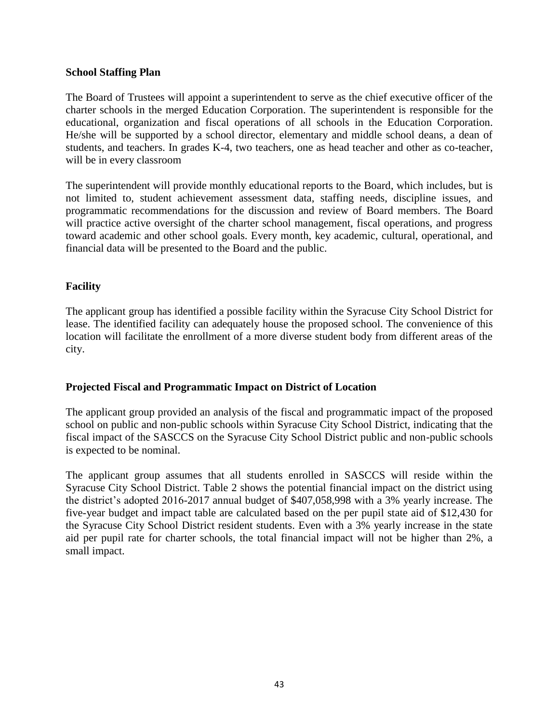#### **School Staffing Plan**

The Board of Trustees will appoint a superintendent to serve as the chief executive officer of the charter schools in the merged Education Corporation. The superintendent is responsible for the educational, organization and fiscal operations of all schools in the Education Corporation. He/she will be supported by a school director, elementary and middle school deans, a dean of students, and teachers. In grades K-4, two teachers, one as head teacher and other as co-teacher, will be in every classroom

The superintendent will provide monthly educational reports to the Board, which includes, but is not limited to, student achievement assessment data, staffing needs, discipline issues, and programmatic recommendations for the discussion and review of Board members. The Board will practice active oversight of the charter school management, fiscal operations, and progress toward academic and other school goals. Every month, key academic, cultural, operational, and financial data will be presented to the Board and the public.

#### **Facility**

The applicant group has identified a possible facility within the Syracuse City School District for lease. The identified facility can adequately house the proposed school. The convenience of this location will facilitate the enrollment of a more diverse student body from different areas of the city.

#### **Projected Fiscal and Programmatic Impact on District of Location**

The applicant group provided an analysis of the fiscal and programmatic impact of the proposed school on public and non-public schools within Syracuse City School District, indicating that the fiscal impact of the SASCCS on the Syracuse City School District public and non-public schools is expected to be nominal.

The applicant group assumes that all students enrolled in SASCCS will reside within the Syracuse City School District. Table 2 shows the potential financial impact on the district using the district's adopted 2016-2017 annual budget of \$407,058,998 with a 3% yearly increase. The five-year budget and impact table are calculated based on the per pupil state aid of \$12,430 for the Syracuse City School District resident students. Even with a 3% yearly increase in the state aid per pupil rate for charter schools, the total financial impact will not be higher than 2%, a small impact.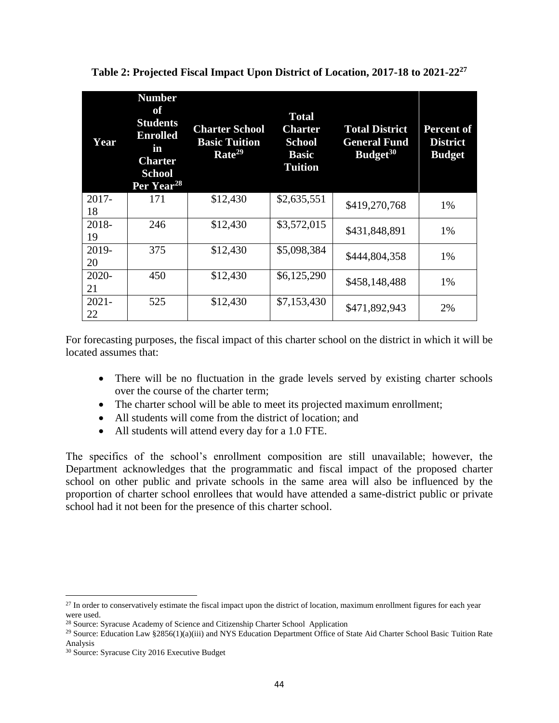| Year           | <b>Number</b><br>of<br><b>Students</b><br><b>Enrolled</b><br>in<br><b>Charter</b><br><b>School</b><br>Per Year <sup>28</sup> | <b>Charter School</b><br><b>Basic Tuition</b><br>Rate <sup>29</sup> | <b>Total</b><br>Charter<br><b>School</b><br><b>Basic</b><br><b>Tuition</b> | <b>Total District</b><br><b>General Fund</b><br>Budget <sup>30</sup> | <b>Percent of</b><br><b>District</b><br><b>Budget</b> |
|----------------|------------------------------------------------------------------------------------------------------------------------------|---------------------------------------------------------------------|----------------------------------------------------------------------------|----------------------------------------------------------------------|-------------------------------------------------------|
| $2017 -$<br>18 | 171                                                                                                                          | \$12,430                                                            | \$2,635,551                                                                | \$419,270,768                                                        | 1%                                                    |
| 2018-<br>19    | 246                                                                                                                          | \$12,430                                                            | \$3,572,015                                                                | \$431,848,891                                                        | 1%                                                    |
| 2019-<br>20    | 375                                                                                                                          | \$12,430                                                            | \$5,098,384                                                                | \$444,804,358                                                        | 1%                                                    |
| $2020 -$<br>21 | 450                                                                                                                          | \$12,430                                                            | \$6,125,290                                                                | \$458,148,488                                                        | 1%                                                    |
| $2021 -$<br>22 | 525                                                                                                                          | \$12,430                                                            | \$7,153,430                                                                | \$471,892,943                                                        | 2%                                                    |

**Table 2: Projected Fiscal Impact Upon District of Location, 2017-18 to 2021-22<sup>27</sup>**

For forecasting purposes, the fiscal impact of this charter school on the district in which it will be located assumes that:

- There will be no fluctuation in the grade levels served by existing charter schools over the course of the charter term;
- The charter school will be able to meet its projected maximum enrollment;
- All students will come from the district of location; and
- All students will attend every day for a 1.0 FTE.

The specifics of the school's enrollment composition are still unavailable; however, the Department acknowledges that the programmatic and fiscal impact of the proposed charter school on other public and private schools in the same area will also be influenced by the proportion of charter school enrollees that would have attended a same-district public or private school had it not been for the presence of this charter school.

 $^{27}$  In order to conservatively estimate the fiscal impact upon the district of location, maximum enrollment figures for each year were used.

<sup>28</sup> Source: Syracuse Academy of Science and Citizenship Charter School Application

<sup>&</sup>lt;sup>29</sup> Source: Education Law §2856(1)(a)(iii) and NYS Education Department Office of State Aid Charter School Basic Tuition Rate Analysis

<sup>30</sup> Source: Syracuse City 2016 Executive Budget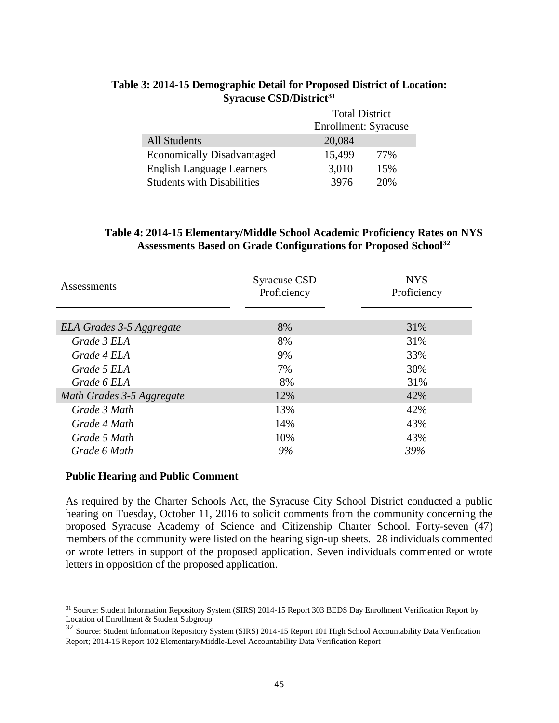|                                   | <b>Total District</b> |     |  |
|-----------------------------------|-----------------------|-----|--|
|                                   | Enrollment: Syracuse  |     |  |
| <b>All Students</b>               | 20,084                |     |  |
| <b>Economically Disadvantaged</b> | 15,499                | 77% |  |
| <b>English Language Learners</b>  | 3,010                 | 15% |  |
| <b>Students with Disabilities</b> | 3976                  | 20% |  |

# **Table 3: 2014-15 Demographic Detail for Proposed District of Location: Syracuse CSD/District<sup>31</sup>**

#### **Table 4: 2014-15 Elementary/Middle School Academic Proficiency Rates on NYS Assessments Based on Grade Configurations for Proposed School<sup>32</sup>**

| Assessments               | Syracuse CSD<br>Proficiency | <b>NYS</b><br>Proficiency |
|---------------------------|-----------------------------|---------------------------|
|                           |                             |                           |
| ELA Grades 3-5 Aggregate  | 8%                          | 31%                       |
| Grade 3 ELA               | 8%                          | 31%                       |
| Grade 4 ELA               | 9%                          | 33%                       |
| Grade 5 ELA               | 7%                          | 30%                       |
| Grade 6 ELA               | 8%                          | 31%                       |
| Math Grades 3-5 Aggregate | 12%                         | 42%                       |
| Grade 3 Math              | 13%                         | 42%                       |
| Grade 4 Math              | 14%                         | 43%                       |
| Grade 5 Math              | 10%                         | 43%                       |
| Grade 6 Math              | 9%                          | 39%                       |

#### **Public Hearing and Public Comment**

 $\overline{a}$ 

As required by the Charter Schools Act, the Syracuse City School District conducted a public hearing on Tuesday, October 11, 2016 to solicit comments from the community concerning the proposed Syracuse Academy of Science and Citizenship Charter School. Forty-seven (47) members of the community were listed on the hearing sign-up sheets. 28 individuals commented or wrote letters in support of the proposed application. Seven individuals commented or wrote letters in opposition of the proposed application.

<sup>&</sup>lt;sup>31</sup> Source: Student Information Repository System (SIRS) 2014-15 Report 303 BEDS Day Enrollment Verification Report by Location of Enrollment & Student Subgroup

<sup>&</sup>lt;sup>32</sup> Source: Student Information Repository System (SIRS) 2014-15 Report 101 High School Accountability Data Verification Report; 2014-15 Report 102 Elementary/Middle-Level Accountability Data Verification Report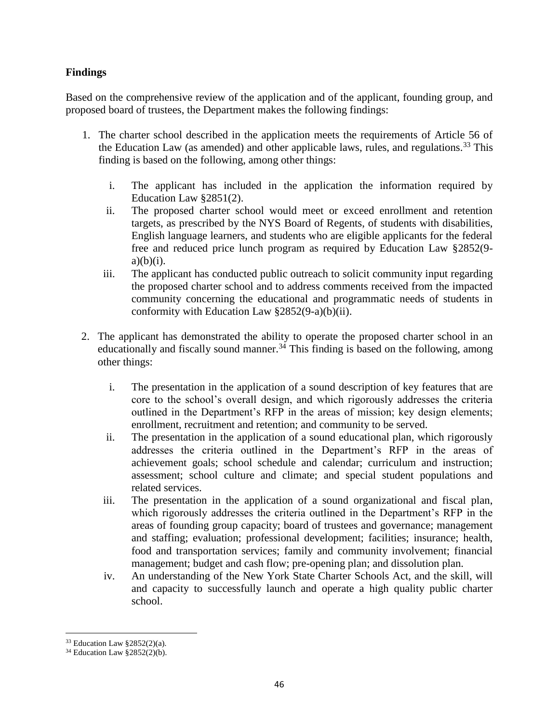# **Findings**

Based on the comprehensive review of the application and of the applicant, founding group, and proposed board of trustees, the Department makes the following findings:

- 1. The charter school described in the application meets the requirements of Article 56 of the Education Law (as amended) and other applicable laws, rules, and regulations.<sup>33</sup> This finding is based on the following, among other things:
	- i. The applicant has included in the application the information required by Education Law §2851(2).
	- ii. The proposed charter school would meet or exceed enrollment and retention targets, as prescribed by the NYS Board of Regents, of students with disabilities, English language learners, and students who are eligible applicants for the federal free and reduced price lunch program as required by Education Law §2852(9  $a)(b)(i)$ .
	- iii. The applicant has conducted public outreach to solicit community input regarding the proposed charter school and to address comments received from the impacted community concerning the educational and programmatic needs of students in conformity with Education Law §2852(9-a)(b)(ii).
- 2. The applicant has demonstrated the ability to operate the proposed charter school in an educationally and fiscally sound manner.<sup>34</sup> This finding is based on the following, among other things:
	- i. The presentation in the application of a sound description of key features that are core to the school's overall design, and which rigorously addresses the criteria outlined in the Department's RFP in the areas of mission; key design elements; enrollment, recruitment and retention; and community to be served.
	- ii. The presentation in the application of a sound educational plan, which rigorously addresses the criteria outlined in the Department's RFP in the areas of achievement goals; school schedule and calendar; curriculum and instruction; assessment; school culture and climate; and special student populations and related services.
	- iii. The presentation in the application of a sound organizational and fiscal plan, which rigorously addresses the criteria outlined in the Department's RFP in the areas of founding group capacity; board of trustees and governance; management and staffing; evaluation; professional development; facilities; insurance; health, food and transportation services; family and community involvement; financial management; budget and cash flow; pre-opening plan; and dissolution plan.
	- iv. An understanding of the New York State Charter Schools Act, and the skill, will and capacity to successfully launch and operate a high quality public charter school.

 $\overline{a}$ <sup>33</sup> Education Law §2852(2)(a).

<sup>34</sup> Education Law §2852(2)(b).